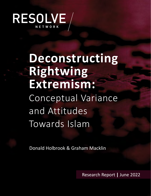

# **Deconstructing Rightwing Extremism:** Conceptual Variance and Attitudes Towards Islam

Donald Holbrook & Graham Macklin

Research Report **|** June 2022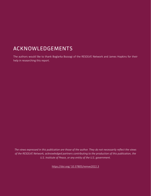# ACKNOWLEDGEMENTS

The authors would like to thank Boglarka Bozsogi of the RESOLVE Network and James Hopkins for their help in researching this report.

*The views expressed in this publication are those of the author. They do not necessarily reflect the views of the RESOLVE Network, acknowledged partners contributing to the production of this publication, the U.S. Institute of Peace, or any entity of the U.S. government.*

[https://doi.org/](https://doi.org/10.37805/remve2022.3) 10.37805/remve2022.3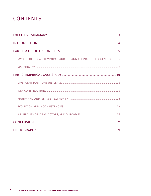# **CONTENTS**

| RWE: IDEOLOGICAL, TEMPORAL, AND ORGANIZATIONAL HETEROGENEITY  6 |  |
|-----------------------------------------------------------------|--|
|                                                                 |  |
|                                                                 |  |
|                                                                 |  |
|                                                                 |  |
|                                                                 |  |
|                                                                 |  |
|                                                                 |  |
|                                                                 |  |
|                                                                 |  |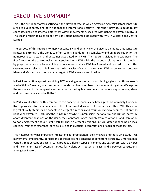# EXECUTIVE SUMMARY

This is the first report of two setting out the different ways in which rightwing extremist actors constitute a risk to public safety and both national and international security. This report provides a guide to key concepts, ideas, and internal differences within movements associated with rightwing extremism (RWE). The second report focuses on patterns of violent incidents associated with RWE in Western and Central Europe.

The purpose of this report is to map, conceptually and empirically, the diverse elements that constitute rightwing extremism. The aim is to offer readers a guide to this complexity and an appreciation for the numerous ideas, actors, and outcomes associated with RWE. The report is divided into two parts. The first focuses on the conceptual issues associated with RWE while the second explores how this complexity plays out in practice by examining various ways in which RWE has framed and reacted to Islam. This case study was selected as it illustrates the intricacies of varied and evolving RWE responses and because Islam and Muslims are often a major target of RWE violence and hostility.

In Part 1 we caution against describing RWE as a single movement or an ideology given that those associated with RWE, overall, lack the common bonds that bind members of a movement together. We explore the substance of this complexity and summarize the key features on a schema focusing on actors, ideas, and outcomes associated with RWE.

In Part 2 we illustrate, with reference to this conceptual complexity, how a plethora of mainly European RWE approaches to Islam underscores the pluralism of ideas and interpretations within RWE. This ideological plurality steers its proponents in divergent directions and results in varied outcomes. Not only do right-wing extremists, including those inspired by white supremacism, nationalism, and cultural nativism, adopt divergent positions on the issue, their approach ranges widely from co-optation and inspiration to non-engagement and outright hostility. These divergent positions, in turn, differ depending on local contexts, frames of reference, core beliefs, and individuals' interpretations of each of these factors.

This heterogeneity has important implications for practitioners, policymakers and those who study RWE movements. Importantly, perceptions of threat are not constant or consistent across RWE movements. Varied threat perceptions can, in turn, produce different types of violence and extremism, with a diverse and inconsistent list of potential targets for violent acts, potential allies, and perceived constituents among RWE actors.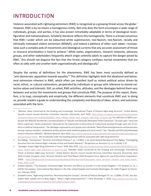# INTRODUCTION

Violence associated with rightwing extremism (RWE) is recognized as a growing threat across the globe.1 However, RWE is by no means a homogenous entity. Not only does the term encompass a wide range of individuals, groups, and parties, it has also proven remarkably adaptable in terms of ideological reconfiguration and metamorphosis. Scholarly literature reflects this homogeneity. There is a broad consensus that RWE—under which can be subsumed white supremacism, neo-Nazism, neo-fascism, racially and ethnically motivated violent extremism (REMVE), and indeed a plethora of other such labels—incorporates such a complex web of movements and ideological currents that any accurate assessment of threat or resource prioritization is hard to achieve.<sup>2</sup> While states, organizations, research networks, advocacy groups, and other stakeholders frequently attach single umbrella labels to capture the danger posed by RWE,<sup>3</sup> this should not disguise the fact that this threat category conflates myriad movements that are often at odds with one another both organizationally and ideologically.4

Despite the variety of definitions for the phenomena, RWE has been most succinctly defined as "anti-democratic opposition towards equality."<sup>5</sup> This definition highlights both the ideational and behavioral extremism inherent in RWE, which often can manifest itself as violent political action driven by racial, ethnic, or cultural nationalism, perpetrated by individuals or groups with reference to shared collective values and interests. Still, as noted, RWE activities, attitudes, and the ideologies behind them vary between and across the movements and groups that constitute RWE. The purpose of this report, therefore, is to map, conceptually and empirically, the different elements that constitute RWE and, in doing so, provide readers a guide to understanding the complexity and diversity of ideas, actors, and outcomes associated with the term.

3 "Spotlight: Violent Right-Wing Extremism in Focus," *RAN,* May 2020, [https://ec.europa.eu/home-affairs/system/files/2020-06/ran\\_bro](https://ec.europa.eu/home-affairs/system/files/2020-06/ran_brochure_violent_right_wing_extremism_in_focus_en.pdf)[chure\\_violent\\_right\\_wing\\_extremism\\_in\\_focus\\_en.pdf](https://ec.europa.eu/home-affairs/system/files/2020-06/ran_brochure_violent_right_wing_extremism_in_focus_en.pdf); "Member States Concerned by the Growing and Increasingly Transnational Threat of Extreme Right-wing Terrorism," *United Nations Security Council Counter-Terrorism Committee Executive Directorate,* April 2020; Europol, *European Union Terrorism Situation and Trend Report 2020* (European Union Agency for Law Enforcement Cooperation, 2020), https://www.europol.europa.eu/cms/sites/default/files/documents/european\_union\_terrorism\_situation\_and\_trend\_report [te-sat\\_2020\\_0.pdf](https://www.europol.europa.eu/cms/sites/default/files/documents/european_union_terrorism_situation_and_trend_report_te-sat_2020_0.pdf).

<sup>1</sup> "Member States Concerned by the Growing and Increasingly Transnational Threat of Extreme Right-wing Terrorism," *United Nations Security Council Counter-Terrorism Committee Executive Directorate*, April 2020, [https://www.un.org/securitycouncil/ctc/sites/www.](https://www.un.org/securitycouncil/ctc/sites/www.un.org.securitycouncil.ctc/files/20200401_press_release_trends_alert_extreme_right-wing_terrorism.pdf) un.org.securitycouncil.ctc/files/20200401 press release trends alert extreme right-wing terrorism.pdf. Our definition of RWE incorporates the RESOLVE Secretariat's conceptualization of "Racially and Ethnically Motivated Violent Extremism", focused upon "racial and ethnic supremacy" where proponents "advocate for the suppression or elimination of multicultural societies through overt acts of violence or political manipulation." The ideologies espoused by such groups and individuals "feed off perceived grievances and persecution among in-group members, metastasize quickly and are easily stoked by global and social events." See: "Racially and Ethnically Motivated Violent Extremism (REMVE)," *RESOLVE Network,* April 2020, [https://www.resolvenet.org/projects/racially-and-ethnically-motivated-vio](https://www.resolvenet.org/projects/racially-and-ethnically-motivated-violent-extremism-remve)[lent-extremism-remve](https://www.resolvenet.org/projects/racially-and-ethnically-motivated-violent-extremism-remve). We incorporate under this heading political violence associated with right-wing extremism.

<sup>2</sup> Tore Bjørgo, "Introduction," *Terrorism and Political Violence* 7, no. 1 (1995): 1-16; Jacob Aasland Ravndal and Tore Bjørgo, "Investigating Terrorism from the Extreme Right: A Review of Past and Present Research," *Perspectives on Terrorism* 12, no. 6 (2018): 5-22.

<sup>4</sup> Graham Macklin, "The Evolution of Extreme-Right Terrorism and Efforts to Counter it in the United Kingdom," *CTC Sentinel* 12, no. 1 (2019); Paul Jackson, *Trans-national Neo-Nazism in the USA, United Kingdom and Australia* (Washington, DC: GWU Program on Extremism, February 2020).

<sup>5</sup> Elisabeth Carter, "Right-wing Extremism: Reconstructing the Concept," *Journal of Political Ideologies* 23, no. 2 (2008): 157-82. See also: Anders Ravik Jupskås and Iris Beau Segers, "What is Right-wing Extremism?" *C-REX,* November 7, 2020, https://www.sv.uio.no/c-rex/ english/groups/compendium/what-is-right-wing-extremism.html.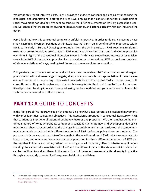We divide this report into two parts. Part 1 provides a guide to concepts and begins by unpacking the ideological and organizational heterogeneity of RWE, arguing that it consists of neither a single unified social movement nor ideology. We seek to capture the differing elements of RWE by suggesting a conceptual schema that incorporates divergent ideas, outcomes, and actors, each of which can influence the other.

Part 2 looks at how this conceptual complexity unfolds in practice. In order to do so, it presents a case study, examining divergent positions within RWE towards Islam—an issue of notable importance within RWE, particularly in Europe.<sup>6</sup> Drawing on examples from the UK in particular, RWE reactions to Islamist extremism are examined, as are changes in RWE narratives concerning Islam and anti-Muslim prejudice over time, in light of the conceptual discussion in Part 1. As this case study illustrates, responses to Islam vary within RWE circles and can provoke diverse reactions and interactions. RWE actors have conceived of Islam in a plethora of ways, leading to different outcomes and idea construction.

Policymakers, practitioners and other stakeholders must understand RWE as a complex and divergent phenomenon with a diverse range of targets, allies, and constituencies. An appreciation of these diverse elements can assist in responding to the varied manifestations of the risk that RWE actors can pose, both currently and as they continue to evolve. Our key takeaway is this: the threat from RWE is not a one-sizefits-all problem. Treating it as such risks overlooking the level of detail and granularity needed to counter such threats in tailored and effective ways.

#### **PART 1:** A GUIDE TO CONCEPTS

In the first part of this report, we begin by emphasizing how RWE incorporates a collection of movements with varied identities, values, and objectives. This discussion is grounded in conceptual literature on RWE that cautions against generalizations about its key features and properties. We then emphasize the multimodal nature of RWE, whereby its components constantly generate new and overlapping ideological mutations as they adapt according to the changes in external circumstances. We lay out the components most commonly associated with different elements of RWE before mapping these on a schema. The purpose of this conceptual map is to offer a guide to the key dimensions of RWE, which we separate into ideas, actors, and outcomes. We argue that an appreciation for these different dimensions of RWE and the way they influence each other, rather than looking at one in isolation, offers us a better way of understanding the varied risks associated with RWE and the different parts of the state and civil society that can be mobilized to address them. In the second part of the report, we examine this diversity in practice through a case study of varied RWE responses to Muslims and Islam.

<sup>6</sup> Daniel Koehler, "Right-Wing Extremism and Terrorism in Europe Current Developments and Issues for the Future," *PRISM* 6, no. 2, [https://cco.ndu.edu/PRISM/PRISM-Volume-6-no-2/Article/839011/right-wing-extremism-and-terrorism-in-europe-current-develop](https://cco.ndu.edu/PRISM/PRISM-Volume-6-no-2/Article/839011/right-wing-extremism-and-terrorism-in-europe-current-developments-and-issues-fo/)[ments-and-issues-fo/](https://cco.ndu.edu/PRISM/PRISM-Volume-6-no-2/Article/839011/right-wing-extremism-and-terrorism-in-europe-current-developments-and-issues-fo/).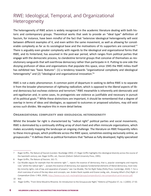#### RWE: Ideological, Temporal, and Organizational Heterogeneity

The heterogeneity of RWE actors is widely recognized in the academic literature dealing with both historic and contemporary groups. Theoretical works that seek to provide an "ideal type" definition of fascism, for instance, have been mindful of the fact that "extensive ideological heterogeneity will exist between different examples of it, and even within the same movement, as well as allowing for considerable complexity as far as its sociological base and the motivations of its supporters are concerned."<sup>7</sup> There is arguably even greater complexity with regards to the ideological and organizational forms that RWE, and its hinterland, has assumed in the post-war period, which ranges from political parties that engage with the democratic process, to clandestine terrorist groups that conceive of themselves as revolutionary vanguards that will overthrow democracy rather than participate in it. Putting to one side the dizzying profusion of ideas and organizations that populate this space, since 1945 the RWE milieu itself has exhibited two "basic features": (1) a tendency towards "organizational complexity and ideological heterogeneity" and (2) "ideological and organizational innovation."<sup>8</sup>

RWE is not a static phenomenon. A common point of departure in seeking to define RWE is to separate it from the broader phenomenon of *rightwing radicalism*, which is opposed to the *liberal* aspects of liberal democracy but eschews violence and terrorism.<sup>9</sup> RWE meanwhile is inherently anti-democratic and anti-egalitarian and, in some cases, its protagonists see violence as justifiable and necessary in pursuit of its political goals.10 While these distinctions are important, it should be remembered that a degree of overlap in terms of ideas and ideologies, as opposed to outcomes or proposed solutions, may still exist across such divides. We explore this in more detail below.

#### **Organizational complexity and ideological heterogeneity**

Whilst the broader far right is characterized by "radical right" political parties and social movements, RWE is dominated by a continually shifting array of short-lived and often miniscule organizations, which makes accurately mapping the landscape an ongoing challenge*.* The literature on RWE frequently refers to these micro-groups, which proliferate across the RWE space, sometimes existing exclusively online, as *groupuscules*. 11 It defines them as political formations that "behave as fully developed, highly specialized

<sup>7</sup> Roger Griffin, *The Nature of Fascism* (London: Routledge 1993): 27; Roger Griffin highlights this ideological diversity across the course of the twentieth century, see: Roger Griffin, ed., *Fascism* (Oxford: Oxford University Press, 1995).

<sup>8</sup> Roger Griffin, *The Nature of Fascism,* 161-71.

<sup>9</sup> Cas Mudde argues for example that the extreme right "… rejects the essence of democracy, that is, popular sovereignty and majority rule," whilst the radical right "… accepts the essence of democracy, but opposes fundamental elements of liberal democracy, most notably minority rights, rule of law, and separation of powers," see: Cas Mudde, *The Far Right Today* (Polity Press: Cambridge, 2020): 7. For a short overview of some of the key ideas and concepts, see: Anders Ravik Jupskås and Eviane Leidig, eds., *Knowing What's (Far) Right: A Compendium* (Oslo: C-REX, 2020), <https://www.sv.uio.no/c-rex/english/groups/compendium/c-rex-compendium-print-version.pdf>.

<sup>10</sup> Ibid.

<sup>11</sup> Roger Griffin, "From Slime Mould to Rhizome: An Introduction to the Groupuscular Right," *Patterns of Prejudice* 37, no. 1 (2003): 27-50.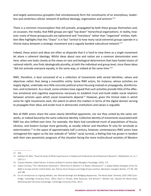and largely autonomous grouplets that simultaneously form the constituents of an amorphous, leaderless and centerless cellular network of political ideology, organization and activism."<sup>12</sup>

There is a common misconception that still prevails, propagated by both these groups themselves and, on occasion, the media, that RWE groups are rigid "top down" hierarchical organizations. In reality, however, many of these *groupuscules* are ephemeral and "transitory" rather than "organized" entities. Kathleen Blee highlights that this "chaos" is in fact "central to how many racial extremist groups operate in a liminal status between a strategic movement and a vaguely bonded subcultural network."13

Indeed, these actors and ideas are often so disparate that it is hard to view them as a single movement let alone a coherent ideology. Whilst ideas about race and nation are a common denominator even here, when one looks closely at the views on race and biological determinism that have fueled visions of national rebirth, one finds ideologically plurality, at both the individual and group level, since these ideas "did not animate everyone equally, in the same way, or indeed at the same time." $14$ 

RWE, therefore, is best conceived of as a collection of movements with varied identities, values and objectives rather than being a monolithic entity. Some RWE actors, for instance, whose activities are largely digital, undertake very little concrete political action focusing instead on propaganda, disinformation, and incitement. As a result, some scholars have argued that such activities provide little of the affective emotional and cognitive experiences necessary to establish trust and build stable social relations between activists upon which social movements depend.<sup>15</sup> However, given the liminal state in which some far right movements exist, the extent to which this matters in terms of the digital domain serving to propagate their ideas and erode trust in democratic institutions and values is arguable.

Not all RWE actors share the same clearly identified opponents, nor are they united by the same networks, or indeed bound by the same collective identity. Collective identity of movements associated with RWE has also shifted over time. For example, the Nazis had considered much of populations of Russia, Ukraine, and Eastern Europe more generally, as racially inferior and therefore fit only for servitude or extermination.<sup>16</sup> In the space of approximately half a century, however, contemporary RWE actors have reimagined this region as the last redoubt of "white" racial survival, a feeling that has grown in tandem with their own pessimistic prognosis of the situation facing the more multicultural societies of Western

<sup>12</sup> Ibid.

<sup>13</sup> Kathleen M. Blee, "How the Study of White Supremacism is Helped and Hindered by Social Movement Research," *Mobilization* 22, no. 1 (2017): 5.

<sup>14</sup> Graham Macklin, *Failed Führers: A History of Britain's Extreme Right* (Abingdon: Routledge, 2020), 7-8.

<sup>15</sup> Fabian Virchow, "The 'Identitarian Movement': What Kind of Identity? Is it Really a Movement?" in *Digital Media Strategies of the Far Right in Europe and the United States,* eds. Patricia Anne Simpson and Helga Druxes (Lanham, Maryland: Lexington Books): 177-90, 182 and 186.

<sup>16</sup> For an introduction to ongoing debates, see: Michael Burleigh and Wolfgang Wipperman, *The Racial State: Germany 1933-1945* (Cambridge: Cambridge University Press, 1991); Devin O. Pendas, Mark Roseman, and Richard F. Wetzell, eds., *Beyond the Racial State: Rethinking Nazi Germany* (Cambridge: Cambridge University Press, 2017).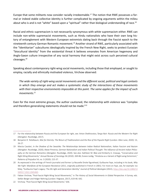Europe that some militants now consider racially irredeemable.<sup>17</sup> The notion that RWE possesses a formal or indeed stable collective identity is further complicated by ongoing arguments within the milieu about who is and is not "white" based upon a "spiritual" rather than biological understanding of race.<sup>18</sup>

Racial and ethnic supremacism is not necessarily synonymous with *white* supremacism either. RWE can include non-white supremacist movements, such as Hindu nationalists who have their own long history of entanglement with Western European extremists dating back through the Fascist epoch to the nineteenth century German Romantic movement.<sup>19</sup> Another strand of RWE, particularly associated with the "Identitarian" subcultures ideologically inspired by the French New Right, seeks to protect Eurasian "biocultural identity" from the existential threat it believes emanates from American hegemony and Anglo-Saxon culture irrespective of any racial harmony that might exist across such perceived cultural cleavages.20

Speaking about contemporary right-wing social movements, including those that employed, or sought to employ, racially and ethnically motivated violence, Virchow observed:

*The wide variety of right-wing social movements and the different social, political and legal contexts in which they emerge and act makes a systematic study of the interactions of these movements with their respective environments impossible at this point. The same applies for the impact of such movements.21*

Even for the most extreme groups, the author cautioned, the relationship with violence was "complex and therefore generalizing statements should not be made."<sup>22</sup>

<sup>17</sup> For the relationship between Russia and the European far right, see: Anton Shekhovstov, *Tango Noir: Russia and the Western Far Right*  (Abingdon: Routledge, 2017).

<sup>18</sup> Benjamin R. Teitelbaum, *War for Eternity: The Return of Traditionalism and the Rise of the Populist Right* (London: Allen Lane, 2020): 13, 26-27.

<sup>19</sup> Marzia Casolari, *In the Shadow of the Swastika: The Relationships between Indian Radical Nationalism, Italian Fascism and Nazism*  (Abingdon: Routledge, 2020); Alexei Pimenov, *German Nationalism and Indian Political Thought: The Influence of Ancient Indian Philosophy on the German Romantics* (Abingdon: Routledge, 2020). See also: Kathleen M. Blee and Kimberly A. Creasap, "Conservative and Right-Wing Movements," *Annual Review of Sociology* 36 (2010): 269-86; Eviane Leidig, "Hindutva as a Variant of Right-wing Extremism," *Patterns of Prejudice* 54, no. 3 (2020): 215-37.

<sup>20</sup> As expressed in the writings of French journalist and former La Nouvelle Droite figurehead, Guillaume Faye, including in his book, *Why We Fight: Manifesto of the European Resistance* (2011, originally published in French in 2001). For more on Faye, see, for example: Ico Maly, "Guillaume Faye's Legacy: The Alt-right and Generation Identity," *Journal of Political Ideologies* (2022), [https://doi.org/10.1080/13](https://doi.org/10.1080/13569317.2022.2045460) [569317.2022.2045460.](https://doi.org/10.1080/13569317.2022.2045460)

<sup>21</sup> Fabian Virchow, "Post-Fascist Right-Wing Social Movements," in *The History of Social Movements in Global Perspective: A Survey,* eds. Stefan Berger and Holger Nehring (London: Palgrave, 2017), 619-46: 642.

<sup>22</sup> Virchow, "Post-Fascist Right-Wing Social Movements," 636.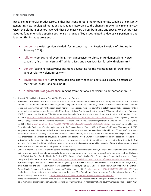#### **Defining RWE**

RWE, like its interwar predecessors, is thus best considered a multimodal entity, capable of constantly generating new ideological mutations as it adapts according to the changes in external circumstance.<sup>23</sup> Given the plethora of actors involved, these changes vary across both time and space. RWE actors have adopted fundamentally opposing positions on a range of key issues related to ideological positioning and identity. This includes areas such as:

- **•** geopolitics (with opinion divided, for instance, by the Russian invasion of Ukraine in February 2022);<sup>24</sup>
- **•** religion (comprising of everything from agnosticism to Christian fundamentalism, Norse paganism, Asian mysticism and Traditionalism, and even Satanism fused with Islamism);<sup>25</sup>
- **•** gender (spanning conservative positions advocating for the maintenance of "traditional" gender roles to violent misogyny);<sup>26</sup>
- **•** environmentalism (from climate denial to justifying racist politics as a simply a defence of the "natural order" and equilibria); $27$
- fundamentals of governance (ranging from "national anarchism" to authoritarianism).<sup>28</sup>

- 26 Gender is integral to all branches of RWE politics both ideologically and in terms of its values, norms and behaviors with ideas about masculinity and femininity that underpin particular forms of male empowerment. For a short introduction to this topic see Inger Skelsbæk et al., "What Role Does Gender Play in the Far Right?" in *Knowing What's (Far) Right: A Compendium,* Anders Ravik Jupskås and Eviane Leidig, eds. (Oslo: C-REX, 2020), 62-64,<https://www.sv.uio.no/c-rex/english/groups/compendium/c-rex-compendium-print-version.pdf>.
- 27 By way of example, "eco-fascist" and environmental agendas put forward by the likes of Pentti Linkola (d. 2020) and Savitri Devi (d. 1982), often fused with the anti-tech animus of the "Unabomber" Ted Kaczynski (b. 1942). See, for example: Graham Macklin, "The Extreme Right, Climate Change and Terrorism," *Terrorism and Political Violence* (2022), <https://doi.org/10.1080/09546553.2022.2069928>. For a brief primer on the role of environmentalism in the far right, see: "The Far-right and Environmentalism Overlap is Bigger than You Think — and Growing," *NPR,* April 1, 2022, [https://www.npr.org/2022/04/01/1089990539/climate-change-politics.](https://www.npr.org/2022/04/01/1089990539/climate-change-politics)
- 28 While authoritarianism is glorified through plethora of neo-Nazi and neo-fascist texts the anti-government, anti-tax currents of RWE point more in an anarchic direction. See, for example: Cody Butler, "Suspect has History of Anti-government Social Media Posts," *WILX,*

<sup>23</sup> Roger Griffin highlights this point. See: Griffin, *The Nature of Fascism*.

<sup>24</sup> RWE opinion was divided on this topic even before the Russian annexation of Crimea in 2014. The subsequent war in Donbas saw white supremacists with a similar outlook and background joining both Russian (e.g., Donetskaya Respublika) and Ukrainian-backed volunteer forces (e.g., Azov), effectively fighting each other. Individual organizations were split down the middle by the conflict or opposed fighting in the region altogether, as was the case with Misanthropic Division Serbia, as evident from public VK communications (as of October 2020). For more, see: Tim Lister, "The Nexus Between Far-Right Extremists in the United States and Ukraine," *CTC Sentinel* 13, no. 4 (2020), <https://ctc.usma.edu/the-nexus-between-far-right-extremists-in-the-united-states-and-ukraine/>; Kacper Rękawek, "Neither 'NATO's Foreign Legion' nor the 'Donbass International Brigades': (Where Are All the) Foreign Fighters in Ukraine," *PRISM Policy Paper* 6, no. 108 (2015), [https://www.files.ethz.ch/isn/189979/PISM%20Policy%20Paper%20no%206%20\(108\).pdf](https://www.files.ethz.ch/isn/189979/PISM%20Policy%20Paper%20no%206%20(108).pdf). See also: Anton Shekhovtsov, "How Alexander Dugin's Neo-Eurasianists Geared Up for the Russian-Ukrainian War in 2005-2013," *Anton Shekhovstov Blog,* January 25, 2016.

<sup>25</sup> Religious sources of influence include Christian identity movements as well as more recently articulated forms of "muscular" Christianity based upon "crusader" campaigns to protect European Christian identity. RWE is also home to a number of new religious movements that encompass anti-Christian belief systems including Ben Klassen's "World Church of the Creator" and Norse paganism, such as those articulated by the likes of Varg Vikernes, convicted for burning down churches in Norway. Other actors including the writers Savitri Devi and Julius Evola have fused RWE beliefs with Asian mysticism and Traditionalism. Groups like the Order of Nine Angles meanwhile blend RWE ideas with a violent extremist interpretation of Satanism.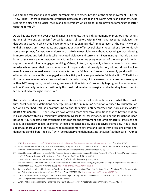Even among transnational ideological currents that are ostensibly part of the same movement—like the "New Right"—there is considerable variance between its European and North American exponents with regards the place of biological racism and antisemitism which are far more prevalent amongst the latter than the former.29

As well as disagreement over these diagnostic elements, there is disagreement on prognosis too. Whilst notions of "violent extremism" certainly suggest all actors within RWE have accepted violence, the degrees and ways in which they have done so varies significantly.<sup>30</sup> Indeed even at the overtly violent end of the spectrum, movements and organizations can offer several distinct repertoires of contention.<sup>31</sup> Some groups may, for instance, endorse or partake in street violence without advocating or participating in more serious and lethal politically motivated violence and terrorism.<sup>32</sup> Even in groups that do engage in terrorist violence – for instance the NSU in Germany – not every member of the group or its wider support network directly engaged in killing. Others, in turn, may openly advocate terrorism and mass murder while seeing their own role as one of propaganda and proselytization, without direct involvement in violence. Indeed, even spaces characterized by "violent talk" are not necessarily good predictors of intent since many of those engaged in such activity will never graduate to "violent action."33 Participation in or development of various non-violent roles—including virtual roles—that are seen as meaningful within RWE ecosystems, paradoxically, may even limit individuals' propensity to progress towards violent action. Conversely, individuals with only the most rudimentary ideological understanding have committed acts of extreme right terrorism.<sup>34</sup>

RWE's eclectic ideological composition necessitates a broad set of definitions as to what they constitute. Most academic definitions converge around the "minimum" definition outlined by Elisabeth Carter who described RWE as encompassing "authoritarianism, anti-democracy and exclusionary and/or holistic nationalism."<sup>35</sup> Other scholars have offered more expansive definitions that go beyond (but are still consonant with) this "minimum" definition. Miller-Idriss, for instance, defined the far right as incorporating "four separate but overlapping categories: antigovernment and antidemocratic practices and ideals, exclusionary beliefs, existential threats and conspiracies, and apocalyptic fantasies." It is a "fluid spectrum of groups and individuals who represent more extreme and less extreme versions of the antidemocratic and illiberal ideals [...] with "exclusionary and dehumanizing language" at their core.<sup>36</sup> Ahmed

<sup>2020,</sup><https://www.wilx.com/2020/10/09/suspect-has-history-of-anti-government-social-media-posts/> (as of October 2020).

<sup>29</sup> For more on these differences, see: Graham Macklin, "Greg Johnson and Counter-Currents" in *Key Thinkers of the Radical Right: Behind the New Threat to Liberal Democracy,* Mark Sedgewick, ed. (Oxford: Oxford University Press, 2019), 204-23.

<sup>30</sup> Gilbert Ramsay and Donald Holbrook, "The Representation of Violence by Insurgent Political Actors: The 'Violent' Part of 'Violent Extremism'?" *Behavioral Sciences of Terrorism and Political Aggression* 7, no. 1 (2014): 84-96.

<sup>31</sup> Charles Tilly and Sidney Tarrow*, Contentious Politics* (Oxford: Oxford University Press, 2015).

<sup>32</sup> Jason M. Blazakis and Colin P. Clarke, *From Paramilitaries to Parliamentarians: Disaggregating Radical Right Wing Extremist Movements*  (Washington, D.C.: RESOLVE Network, 2021), <https://doi.org/10.37805/remve2021.2>.

<sup>33</sup> Simi and Windisch referred to this as the "performative nature of extremism." See: Pete Simi and Steven Windisch, "The Culture of Violent Talk: An Interpretive Approach," *Social Sciences* 9, no. 7 (2020): 120, [https://doi.org/10.3390/socsci9070120.](https://doi.org/10.3390/socsci9070120)

<sup>34</sup> Donald Holbrook and John Horgan, "Terrorism and Ideology: Cracking the Nut," *Perspectives on Terrorism* 13, no. 6 (2019): 2-15.

<sup>35</sup> Carter, "Right-Wing Extremism: Reconstructing a Concept."

<sup>36</sup> Cynthia Miller-Idriss, *Hate in the Homeland: The New Global Far Right* (Princeton: Princeton University Press, 2020), 4.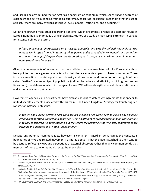and Pisoiu similarly defined the far right "as a spectrum or continuum which spans varying degrees of extremism and activism, ranging from racial supremacy to cultural exclusion," recognizing that in Europe at least, "there are many overlaps at various levels: people, institutions, and discourse."37

Definitions drawing from other geographic contexts, which encompass a range of actors not found in Europe, nonetheless emphasize a similar plurality. Authors of a study on right-wing extremism in Canada for instance defined the term as:

*a loose movement, characterized by a racially, ethnically and sexually defined nationalism. This nationalism is often framed in terms of white power, and is grounded in xenophobic and exclusionary understandings of the perceived threats posed by such groups as non-Whites, Jews, immigrants, homosexuals and feminists.38*

Given the heterogeneity of movements, actors and ideas that are associated with RWE, several authors have pointed to more general characteristics that these elements appear to have in common. These include a rejection of social equality and diversity and promotion and protection of the rights of perceived "native" or non-immigrant populations (defined by culture and ethnicity or biology, and sometimes both), the defense of which in the eyes of some RWE adherents legitimizes anti-democratic means and, in some instances, violence.<sup>39</sup>

Government agencies and departments have similarly sought to detect key ingredients that appear to unite disparate elements associated with this realm. The United Kingdom's Strategy for Countering Terrorism, for instance, notes that:

*In the UK and Europe, extreme right-wing groups, including neo-Nazis, seek to exploit any anxieties around globalization, conflict and migration […] in an attempt to broaden their appeal. These groups may vary considerably in their rhetoric, but they share the racist view that minority communities are harming the interests of a "native" population.40*

Despite any potential commonalities, however, a consistent hazard in demarcating the conceptual boundaries of RWE and related movements, as noted above, is that the labels attached to them tend to be abstract, reflecting views and perceptions of external observers rather than any common bonds that members of these categories would recognize themselves.

<sup>37</sup> Reem Ahmed and Daniela Pisoiu, *How Extreme is the European Far Right? Investigating Overlaps in the German Far-Right Scene on Twitter* (Vox-Pol Network of Excellence, 2019), 15.

<sup>38</sup> Jacob Davey, Mackenzie Hart and Cécile Guerin, *An Online Environmental Scan of Right-wing Extremism in Canada* (Interim Report) (London: ISD, 2020), 10.

<sup>39</sup> Norberto Bobbio, Left and Right: The Significance of a Political Distinction (Chicago: University of Chicago Press, 1996); Cas Mudde, "Right-Wing Extremism Analyzed: A Comparative Analysis of the Ideologies of Three Alleged Right-Wing Extremist Parties (NPD, NDP, CP'86)," *European Journal of Political Research* 27, no. 2 (1995): 203-22; Blee and Creasap, "Conservative and Right-Wing Movements." See also: Ravndal and Bjørgo, "Investigating Terrorism from the Extreme Right."

<sup>40</sup> HM Government, *[CONTEST: The United Kingdom's Strategy for Countering Terrorism](https://assets.publishing.service.gov.uk/government/uploads/system/uploads/attachment_data/file/716907/140618_CCS207_CCS0218929798-1_CONTEST_3.0_WEB.pdf)* (London: Home Office, 2018), 16.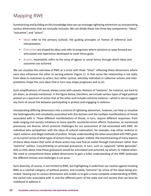#### Mapping RWE

Summarizing and building on this knowledge base we can envisage rightwing extremism as incorporating various dimensions that are mutually inclusive. We can divide these into three key components: "ideas", "outcomes", and "actors".

- **•** Ideas refer to the primary outlook, the guiding principles or frames of reference and interpretation.
- **•** Outcomes are shaped by ideas and refer to prognoses where solutions or ways forward are articulated and repertoires developed to meet those goals.
- **•** Actors, meanwhile, refers to the array of agents or social forces through which ideas and outcomes are actioned.

We can visualize this overview of RWE as a circle with three "slices" reflecting these dimensions where each slice influences the other to varying extents (Figure 1). In that sense the relationship is not static from ideas to outcomes to actors, but rather cyclical, whereby individual or collective actions and interpretations shape the core ideas that in turn may shape prognoses and so on.

Such simplifications, of course, always come with caveats. Notions of "extreme", for instance, are hard to pin down, as already mentioned. In the figure below, therefore, we include various types of legal political protest on a spectrum of action that at the other end includes extreme violence – which is not to suggest any form of causal link between participating in protest and engaging in violence.

Incorporating differing dimensions into a schema of rightwing extremism, however, can help us visualize the heterogeneity and complexity associated with this domain and the multiple manifestations of threat associated with it. These different manifestations of threat, in turn, require different responses: from wide-ranging civil-society initiatives to more specific counterterrorism efforts. Outcomes, as mentioned previously, are diverse, which presents challenges for our assessment of risk associated with RWE. An individual who sympathizes with the ideas of cultural nationalism, for example, may either endorse or reject violence and illegal methods of protest. Simply understanding the ideas associated with RWE gives us no *a priori* sense of what types of actions they may spawn. Indeed, the mainstreaming of many aspects of these ideas means that some of these actors may now find an outlet through mainstream rather than "extreme" politics. Concentrating on principal grievances, in turn, such as supposed "white genocide", tells us little about how those grievances would be articulated and actioned, by whom, or indeed when. We need to comprehend these added dimensions to gain a fuller understanding of the RWE landscape the different threats and challenges it can pose.

Such diversity, of course, is not limited to RWE, but highlighting it underlines our caution against treating RWE as a catchall category of political protest, and innately "extreme" by virtue of the ideas being promoted. Teasing out its various dimensions will enable us to gain a more complete understanding of RWE, the varied risks associated with it, and the different parts of the state and civil society that can best be mobilized to address it.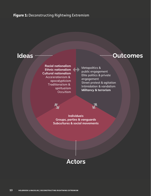#### **Figure 1:** Deconstructing Rightwing Extremism

Racial nationalism Ethnic nationalism Cultural nationalism Accelerationism & apocalypticism Traditionalism & spiritualism **Occultism** 

# Ideas www.wallen.comes

Metapolitics & public engagement Elite politics & private engagement Street protest & agitation Intimidation & vandalism Militancy & terrorism

Individuals Groups, parties & vanguards Subcultures & social movements

# Actors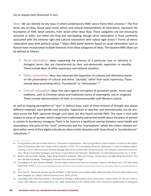Let us unpack each dimension in turn.

Ideas: We can identify six key ways in which contemporary RWE actors frame their universe.<sup>41</sup> The first three sets of ideas, based upon racial, ethnic and cultural interpretations of nationalism, represent the foundation of RWE belief systems, from which other ideas flow. These categories are not necessarily exclusive or static, but rather are fluid and overlapping, though racial nationalism is most commonly associated with the extreme right and cultural nationalism with radical right actors.<sup>42</sup> Forms of ethnic nationalism span both political camps.43 Major RWE belief systems based on racial nationalism such as Nazism have incorporated multiple elements from these categories of ideas. The baseline RWE ideas can be defined as follows:

- **•** Racial nationalism: ideas supporting the primacy of a particular race or ethnicity in biological terms that are characterized by their anti-democratic opposition to equality. These include ideas of white supremacy and national socialism.
- **•** Ethnic nationalism: ideas that advocate the separation of cultures and ethnicities based on the preservation of cultural and ethnic "plurality" rather than racial supremacy. These include ideas promoting ethnic "homelands" or "ethnostates".<sup>44</sup>
- **•** Cultural nationalism: ideas that warn against corruption of perceived values, norms and traditions, such as Christian values and traditional norms of sovereignty, real or imagined. These include representations of Islam as incommensurable with Western culture.

As well as shaping perceptions of "race" in distinct ways, each of these streams of thought also places different emphasis upon gender and sexuality. Opposition to abortion and homosexuality can be situated across the RWE spectrum though such ideas are also found outside RWE. The same is true with respect to views of women, which range from traditionalist patriarchal beliefs about the place of women in society to murderous misogyny. There is for instance a significant overlap between racist beliefs and assumptions and parts of the "incel" community and the "manosphere" whilst the violent ideation evident within some of their digital subcultures share similar dynamics with those found in "accelerationist" subcultures.<sup>45</sup>

<sup>41</sup> Erving Goffman referred to these frames as "schemata of interpretation". See: Erving Goffman, *Frame Analysis: An Essay on the Organization of Experience* (New York: Harper & Row Publishers, 1974). This is something offered by interlocutors in order to mobilize support. Framing, in short, refers to process whereas ideology refers to the content that is being conveyed. See: Pamela E. Oliver and Frank Johnston, "What a Good Idea! Ideologies and Frames in Social Movement Research," *Mobilization: An International Journal* 4, no. 1: 37-54.

<sup>42</sup> Bobbio, *Left and Right*; Mudde, "Right-Wing Extremism Analyzed"; Blee and Creasap, "Conservative and Right-Wing Movements." See also: Ravndal and Bjørgo, "Investigating Terrorism from the Extreme Right."

<sup>43</sup> Tore Bjørgo and Jacob Aasland Ravndal, "Extreme Right Violence and Terrorism: Concepts, Patterns, and Responses," *ICCT Policy Brief* (September 2019): 3, [https://icct.nl/app/uploads/2019/09/Extreme-Right-Violence-and-Terrorism-Concepts-Patterns-and-Responses-4.](https://icct.nl/app/uploads/2019/09/Extreme-Right-Violence-and-Terrorism-Concepts-Patterns-and-Responses-4.pdf) [pdf](https://icct.nl/app/uploads/2019/09/Extreme-Right-Violence-and-Terrorism-Concepts-Patterns-and-Responses-4.pdf).

<sup>44</sup> Tamir Bar-On, "Richard B. Spencer and the Alt Right", in *Key Thinkers of the Radical Right: Behind the New Threat to Liberal Democracy,*  Mark Sedgwick, ed. (Oxford: Oxford University Press, 2019), 224-41.

<sup>45</sup> Laura Bates, *Men Who Hate Women: The Extremism Nobody is Talking About* (Simon & Schuster: London 2020), 20. See also: Emily K. Carian, Alex DiBranco, and Chelsea Ebin, eds., *Male Supremacism in the United States: From Patriarchal Traditionalism to Misogynist*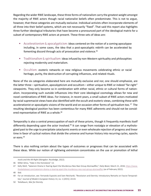Regarding the wider RWE landscape, these three forms of nationalism carry the greatest weight amongst the majority of RWE actors though racial nationalist beliefs often predominate. This is not to argue, however, that these categories are mutually exclusive. Individual activists often incorporate elements of all three into their belief systems, which are not necessarily "fixed". That said this report also highlights three further ideological tributaries that have become a pronounced part of the ideological matrix for a subset of contemporary RWE actors at present. These three sets of ideas are:

- **•** Accelerationism & apocalypticism: ideas centered on the notion of a coming apocalypse including, in some cases, the idea that a post-apocalyptic rebirth can be accelerated by fomenting discord through acts of provocation and violence.<sup>46</sup>
- **•** Traditionalism & spiritualism: ideas infused by non-Western spirituality and philosophies rejecting modernity and materialism.
- **•** Occultism: esoteric networks or new religious movements celebrating ethnic or racial heritage, purity, the destruction of corrupting influences, and related rituals.

None of the six categories elaborated here are mutually exclusive and nor, one should emphasize, are the latter three – spiritualism, apocalypticism and occultism – either unique to RWE or indeed "far-right" viewpoints. They only become so in combination with either racial, ethnic or cultural forms of nationalism. Incorporating such outside influences into their core ideological cosmology allows for new and novel combinations of RWE ideas. For instance, in recent years, a small subset of RWE actors motivated by racial supremacist views have also identified with the occult and esoteric views, combining these with accelerationist or apocalyptic visions of the world and on occasion other forms of spiritualism too.<sup>47</sup> The resulting ideological position has been contentious for many RWE adherents and should not be considered representative of RWE as a whole.<sup>48</sup>

Temporality is also a central preoccupation of each of these prisms, though it frequently manifests itself differently depending upon the actor involved.<sup>49</sup> It can range from nostalgia or elevation of a mythologized past to the urge to precipitate cataclysmic events or even wholesale rejection of progress and linear time in favor of cyclical notions that divide the universe and human history into recurring cycles, epochs or eons.<sup>50</sup>

There is also nothing certain about the types of outcomes or prognoses that can be associated with these ideas. While our notion of rightwing *extremism* concentrates on the use or promotion of lethal

*Incels and the Alt-Right* (Abingdon: Routledge, 2022).

<sup>46</sup> Miller-Idriss, "Hate in the Homeland," 13.

<sup>47</sup> Kelly Weill, "Satanism Drama Is Tearing Apart the Murderous Neo-Nazi Group Atomwaffen," *Daily Beast,* March 21, 2018, [https://www.](https://www.thedailybeast.com/satanism-drama-is-tearing-apart-the-murderous-neo-nazi-group-atomwaffen) [thedailybeast.com/satanism-drama-is-tearing-apart-the-murderous-neo-nazi-group-atomwaffen](https://www.thedailybeast.com/satanism-drama-is-tearing-apart-the-murderous-neo-nazi-group-atomwaffen) (as of February 2022).

<sup>48</sup> Ibid.

<sup>49</sup> For an introduction, see: Fernando Esposito and Sven Reichardt, "Revolution and Eternity: Introductory Remarks on Fascist Temporalities," *Journal of Modern European History* 13, no. 1 (2015): 24-43.

<sup>50</sup> Teitelbaum, *War for Eternity.*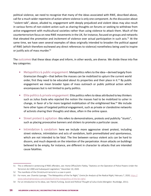political violence, we need to recognize that many of the ideas associated with RWE, described above, call for a much wider repertoire of action where violence is only one component. As the discussion about "violent talk", above, alluded to, engagement with deeply prejudiced and violent ideas may also result in various forms of non-violent action such as sharing thoughts on forums or seeking to withdraw from active engagement with multicultural societies rather than using violence to attack them. Much of the counterterrorism focus on new RWE movements in the UK, for instance, focused on groups and networks that elevated the *promotion* and *incitement* of violence over actual participation in such acts.51 At the same time, we have seen several examples of ideas originally intended to broaden the political appeal of RWE (which therefore eschewed any direct references to violence) nonetheless being used to inspire or justify acts of mass murder.<sup>52</sup>

The outcomes that these ideas shape and inform, in other words, are diverse. We divide these into five key categories:

- **•** Metapolitics & public engagement: Metapolitics refers to the idea—derived largely from Gramscian thought—that before the masses can be mobilized to upturn the current world order, first they need to be educated about its properties and their place in it.<sup>53</sup> By public engagement we mean broader types of mass outreach or public political action which encompasses but is not limited to party politics.
- **•** Elite politics & private engagement: Elite politics refers to ideas attributed to key thinkers such as Julius Evola who rejected the notion the masses had to be mobilized to usher in change, in favor of a far more targeted mobilization of the enlightened few.<sup>54</sup> We include here other types of targeted political engagement, such as private or clandestine networks of activists sharing their thoughts and ideas, often in the online space.
- **•** Street protest & agitation: this refers to demonstrations, protests and publicity "stunts", such as placing provocative banners and stickers to promote a particular cause.
- **•** Intimidation & vandalism: here we include more aggressive street protest, including street violence, intimidation and acts of vandalism, both premeditated and spontaneous, which are not intended to be fatal. The line between various violent acts can be hard to discern, and much depends on the intention of the perpetrator. Arson attacks on buildings believed to be empty, for instance, are different in character to attacks that are intended cause fatalities.

<sup>51</sup> This is reflected in sentencing of RWE offenders, see: Home Office/John Flatley, "Statistics on the Operation of Police Powers Under the Terrorism Act 2000 and Subsequent Legislation," December 10, 2020.

<sup>52</sup> The manifesto of the Christchurch terrorist is a case in point.

<sup>53</sup> For more, see: Chamila Liyanage, "The Metapolitics of the Far Right," *Centre for Analysis of the Radical Right,* February 7, 2020, [https://](https://www.radicalrightanalysis.com/2020/02/07/the-metapolitics-of-the-far-right/) [www.radicalrightanalysis.com/2020/02/07/the-metapolitics-of-the-far-right/](https://www.radicalrightanalysis.com/2020/02/07/the-metapolitics-of-the-far-right/).

<sup>54</sup> For an introduction to his ideas, see: Patrick Furlong, *Social and Political Thought of Julius Evola* (Abingdon: Routledge, 2011).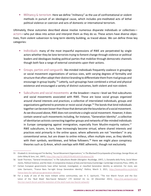**•** Militancy & terrorism: Here we define "militancy" as the use of confrontational or violent methods in pursuit of an ideological cause, which includes pre-meditated acts of lethal political violence or coercion and acts of domestic or international terrorism.

Ultimately, these outcomes described above involve numerous disparate individuals or collectives actors—who put ideas into action and interpret them as they do so. These actors have diverse objectives, from violent subversion to long-term identity building, as traced above. We can define three key categories:

- **•** Individuals: many of the most impactful expressions of RWE are perpetrated by single actors whether they be lone terrorists trying to foment change through violence or political leaders and ideologues leading political parties that mobilize through democratic channels though both face a range of external constraints upon their actions.
- **•** Groups, parties and vanguards: like-minded individuals frequently coalesce in groupings or social movement organizations of various sizes, with varying degrees of formality and structure that often adopt their distinct branding to differentiate them from rival groups and encourage in-group loyalty. 55 Latterly, such groupings have combined a virtual and physical existence and encouraged a variety of distinct outcomes, both violent and non-violent.
- **•** Subcultures and social movements: at the broadest—macro—level we find subcultures and social movements associated with RWE. These are loose social groups organized around shared interests and practices; a collective of interrelated individuals, groups and organizations gathered to promote or resist social change.<sup>56</sup> The bonds that bind individuals together can be even looser than those that demarcate the boundaries of a social movement. As we discussed above, RWE does not constitute a single social movement. However, it does contain several such movements including, for instance, "Generation Identity", a collective of identitarian activists connecting together groups and networks of like-minded individuals in Europe campaigning against immigration, especially from Muslim-majority nations. $57$ RWE subcultures, in turn, have increasingly become virtual, where shared interests and practices exist primarily in the online space; where adherents are not "members" in any conventional sense, but are drawn to online milieus, often multiple ones, as they identify with their symbols, worldviews, and fellow followers.<sup>58</sup> Here we might place conspiracy theories such as Q-Anon, which overlaps with RWE adherents, though not exclusively.

<sup>55</sup> Elizabeth A. Armstrong and Tim Bartley, "Social Movement Organizations," in *The Blackwell Encyclopaedia of Sociology,* George Ritzer, ed. (John Wiley & Sons, Ltd., 2007), <https://doi.org/10.1002/9781405165518.wbeoss158>.

<sup>56</sup> Sarah Thornton, "General Introduction," in *The Subcultures Reader* (Abingdon: Routledge, 1997), 1; Donatella della Porta, *Social Movements, Political Violence, and the State: A Comparative Analysis of Italy and Germany* (Cambridge: Cambridge University Press, 1995), 10.

<sup>57</sup> Certain European governments have either banned, investigated, or classified Generation Identity as extremist. For more, see: Jules Darmanin, "France Bans Far-right Group Generation Identity," *Politico,* March 3, 2021, [https://www.politico.eu/article/](https://www.politico.eu/article/france-bans-far-right-group-generation-identity/) [france-bans-far-right-group-generation-identity/.](https://www.politico.eu/article/france-bans-far-right-group-generation-identity/)

<sup>58</sup> For a study of one of the more militant online communities, see: H. E. Upchurch, "The Iron March Forum and the Evolution of the 'Skull Mask' Neo-Fascist Network," *CTC Sentinel* 14, no. 10 (December 2021), [https://ctc.westpoint.edu/](https://ctc.westpoint.edu/the-iron-march-forum-and-the-evolution-of-the-skull-mask-neo-fascist-network/) [the-iron-march-forum-and-the-evolution-of-the-skull-mask-neo-fascist-network/](https://ctc.westpoint.edu/the-iron-march-forum-and-the-evolution-of-the-skull-mask-neo-fascist-network/).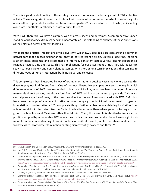There is a good deal of fluidity to these categories, which represent the broad gamut of RWE collective activity. These categories intersect and interact with one another, often to the extent of collapsing into one another to generate hybrid forms like movement-parties,<sup>59</sup> or lone actor terrorists who, whilst acting alone, are nonetheless embedded in virtual subcultures.<sup>60</sup>

With RWE, therefore, we have a complex web of actors, ideas and outcomes. A comprehensive understanding of rightwing extremism needs to incorporate an understanding of all three of these dimensions as they play out across different localities.

What are the practical implications of this diversity? Whilst RWE ideologies coalesce around a common nativist core that opposes egalitarianism, they do not represent a single, universal, doctrine, let alone a set of ideas, outcomes and actors that are internally consistent across various distinct geographical regions or across time and space. This has implications for our assessment of risk. Particular ideas can spawn variously violent and non-violent outcomes, with short or long-term implications, that can inspire different types of human interaction, both individual and collective.

This complexity is best illustrated by way of example, or rather a detailed case study where we see this diversity play out in different forms. One of the most illustrative examples concerns the way in which different elements of RWE have responded to Islam and Muslims, who have been the target of not only mass-scale violent attacks, but also various forms of RWE political activism and propaganda.<sup>61</sup> Islam is a central preoccupation of many of the most prominent actors and ideas associated with RWE.62 Muslims have been the target of a variety of hostile outcomes, ranging from individual harassment to organized intimidation to violent attacks.<sup>63</sup> To complicate things further, violent actors claiming inspiration from acts of anti-Muslim terrorism like the Christchurch attacks have themselves gone on to target other groups such as Jews and Mexicans rather than Muslims.<sup>64</sup> Yet, this example is also illustrative since the position adopted by innumerable RWE actors towards Islam varies considerably. Some have sought inspiration from their understanding of Islamic doctrine or political currents, while others have modified their worldviews to incorporate Islam in their existing hierarchy of grievances and threat.<sup>65</sup>

<sup>59</sup> Manuela Caiani and Ondřej Císař, eds., *Radical Right Movement Parties* (Abingdon: Routledge, 2019).

<sup>60</sup> Lars Erik Berntzen and Sveinung Sandberg, "The Collective Nature of Lone Wolf Terrorism: Anders Behring Breivik and the Anti-Islamic Social Movement," *Terrorism and Political Violence* 26, no. 5 (2014): 759-79.

<sup>61</sup> Daniel Koehler, "Right-Wing Extremism and Terrorism in Europe Current Developments and Issues for the Future"; Catherine Fieschi, *Muslims and the Secular City: How Right-wing Populists Shape the French Debate over Islam* (Washington, DC: Brookings Institute, 2020), <https://www.brookings.edu/research/muslims-and-the-secular-city-how-right-wing-populists-shape-the-french-debate-over-islam/>.

<sup>62</sup> Toby Archer, "Breivik's Mindset: The Counterjihad and the New Transatlantic Anti-Muslim Right," in Extreme Right-Wing Political Violence and Terrorism, Max Taylor, Donald Holbrook, and P.M. Curie, eds. (London: Bloomsbury, 2013), 169-86.

<sup>63</sup> Koehler, "Right-Wing Extremism and Terrorism in Europe Current Developments and Issues for the Future."

<sup>64</sup> Graham Macklin, "The El Paso Terrorist Attack: The Chain Reaction of Global Right-Wing Terror," *CTC Sentinel* 12, no. 11 (2019), [https://](https://ctc.usma.edu/el-paso-terrorist-attack-chain-reaction-global-right-wing-terror/) [ctc.usma.edu/el-paso-terrorist-attack-chain-reaction-global-right-wing-terror/](https://ctc.usma.edu/el-paso-terrorist-attack-chain-reaction-global-right-wing-terror/).

<sup>65</sup> For an overview, see: George Michael, *The Enemy of My Enemy: The Alarming Convergence of Militant Islam and the Extreme Right*  (Lawrence, Kansas: University of Kansas, 2006).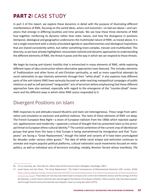# **PART 2:** CASE STUDY

In part 2 of this report, we explore these dynamics in detail with the purpose of illustrating different manifestations of RWE, focusing on the varied ideas, actors and outcomes—as laid out above—and variations that emerge in differing localities and time periods. We see how these three elements of RWE fuse together, reinforcing its dynamic rather than static nature, and how the divergence in positions (temporal, ideological and geographic) underscores the multimodal nature of RWE, as traced above. It is not a single movement with a clearly articulated agenda or specified enemies and ideological inspirations that are shared consistently within, but rather something more complex, messier and multifaceted. This diversity, as we have already highlighted, necessitates tailored and dynamic approaches to understanding the different elements of RWE, the threat it poses and the way in which we can respond to those threats.

We begin by tracing anti-Islamic hostility that is entrenched in many elements of RWE, while exploring different types of idea construction where alternative approaches have featured. This includes elements of Traditionalism and other forms of anti-Christian spirituality, as well as more superficial attempts by racial nationalists to ape Islamists extremists through their "white jihad". It also explores how different parts of the anti-Islamic RWE have variously focused on wide-reaching metapolitical campaigns of public relations as well as self-perceived "vanguardist" acts of terrorism before emphasizing that these different approaches have also evolved, especially with regard to the emergence of the "counter-jihadi" movement and the different ways in which other RWE actors responded to it.

#### Divergent Positions on Islam

RWE responses to and attitudes toward Muslims and Islam are heterogeneous. These range from admiration and emulation to exclusion and political violence. The roots of these elements of RWE run deep. The French European New Right—a strain of European nativism from the 1960s which rejected capitalism, egalitarianism and modernity—spawned a school of thought that has presented Islam as the principal threat to European ethno-cultural identity.<sup>66</sup> The central contention of the current crop of Identitarian groups that grew from this base is that Europe is being overwhelmed by immigration and that "Europeans" are facing a "Great Replacement," though this belief and variants of it have been promulgated for decades under various other guises.<sup>67</sup> The idea of white racial eclipse and extinction continues to animate and inspire populist political platforms, cultural nationalist social movements focused on metapolitics, as well as individual acts of terrorism including, notably, Brenton Tarrant whose manifesto, *The* 

<sup>66</sup> For an overview, see: Tamir Bar-On, *Where Have All the Fascists Gone?* (Abingdon: Routledge, 2007).

<sup>67</sup> Jacob Davey and Julia Ebner, 'The Great Replacement': The Violent Consequences of Mainstreamed Extremism (ISD: London, 2019), [https://www.isdglobal.org/wp-content/uploads/2019/07/The-Great-Replacement-The-Violent-Consequences-of-Mainstreamed-Ex](https://www.isdglobal.org/wp-content/uploads/2019/07/The-Great-Replacement-The-Violent-Consequences-of-Mainstreamed-Extremism-by-ISD.pdf)[tremism-by-ISD.pdf](https://www.isdglobal.org/wp-content/uploads/2019/07/The-Great-Replacement-The-Violent-Consequences-of-Mainstreamed-Extremism-by-ISD.pdf). These ideas are not new and stretch back to at least as far as the mid-nineteenth century and the writings of Arthur de Gobineau, a racist French aristocrat who warned against the decline of European civilization. More recently, they have been popularized through fictional racist jeremiads like Jean Raspail's novel *Les Camp des Saints* (1973).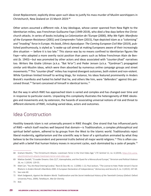*Great Replacement*, explicitly drew upon such ideas to justify his mass murder of Muslim worshippers in Christchurch, New Zealand on 15 March 2019.<sup>68</sup>

Other actors assumed a different role. A key ideologue, whose career spanned from New Right to the Identitarian milieu, was Frenchman Guillaume Faye (1949-2019), who died a few days before the Christchurch attacks. In series of books including *La Colonisation de l'Europe* (2000), *Why We Fight: Manifesto of the European Resistance* (2001) and *Comprendre l'islam* (2015), Faye depicted Islam as a "colonising" and "invading" force in Europe. His book, *Ethnic Apocalypse: The Coming European Civil War* (2019), published posthumously, is styled as "a wake-up call aimed at making Europeans aware of their increasingly dire situation — before it is too late." This stance was by no means confined to Identitarian figures like Faye—who adopted a more overtly racist position than peers such as fellow Frenchman Alain de Benoist (b. 1943)—but was promoted by other actors and ideas associated with "counter-jihad" narratives too. Writers like Gisèle Littman (a.k.a. "Bat Ye'or") and Peder Jensen (a.k.a. "Fjordman") propagated similar anti-Muslim ideas, which were then absorbed by numerous online campaign groups and street movements.69 This "counter-jihad" milieu has inspired divergent outcomes, both violent and non-violent. While Fjordman limited himself to writing blogs, for instance, his ideas featured prominently in Anders Breivik's manifesto and fueled his belief that he, and others like him, were "defenders" against this perceived threat.<sup>70</sup> Tarrant conceived of himself in identical terms.<sup>71</sup>

But the way in which RWE has approached Islam is varied and complex and has changed over time and in response to particular events. Unpacking this complexity illustrates the heterogeneity of RWE ideologies and movements and, by extension, the hazards of associating universal notions of risk and threat to different elements of RWE, including varied ideas, actors and outcomes.

#### Idea Construction

Hostility towards Islam is not universally present in RWE thought. One strand that has influenced parts of RWE—which itself reaches well beyond that domain—is Traditionalism, a complex philosophical and spiritual belief system, adhered to by groups from the West to the Islamic world. Traditionalists reject liberal modernity, egalitarianism and the scientific way in favor of a spiritualism animated by what they believe to be the transcendent and perennial truths behind all major world religions.<sup>72</sup> This is often coupled with a belief that human history moves in recurrent cycles, each dominated by a caste of people.<sup>73</sup>

<sup>68</sup> Graham Macklin, "The Christchurch Attacks: Livestream Terror in the Viral Video Age," *CTC Sentinel* 12, no. 6 (2019), [https://ctc.usma.](https://ctc.usma.edu/christchurch-attacks-livestream-terror-viral-video-age) [edu/christchurch-attacks-livestream-terror-viral-video-age.](https://ctc.usma.edu/christchurch-attacks-livestream-terror-viral-video-age)

<sup>69</sup> Mattias Gardell, "Crusader Dreams: Oslo 22/7, Islamophobia, and the Quest for a Monocultural Europe," *Terrorism and Political Violence*  26, no. 1 (2014): 129-55.

<sup>70</sup> Matt Carr, "You Are Now Entering Eurabia," *Race & Class* 48, no. 1 (2006): 1-22; Paul Jackson, "The License to Hate: Peder Jensen's Fascist Rhetoric in Anders Breivik's Manifesto 2083: A European Declaration of Independence," *Democracy and Security* 9, no. 3 (2013): 247-69. 71 See note 60.

<sup>72</sup> Mark Sedgewick, Against the Modern World: Traditionalism and the Secret Intellectual History of the Twentieth Century (Oxford: Oxford University Press, 2009); Teitelbaum, *War for Eternity.* 

<sup>73</sup> Ibid.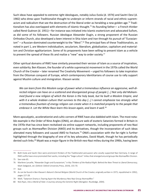Such ideas have appealed to extreme right ideologues, notably Julius Evola (d. 1974) and Savitri Devi (d. 1982) who drew upon Traditionalist thought to underpin or inform strands of racial and ethnic supremacism and radicalism that see the destruction of the liberal order as heralding a new golden age.<sup>74</sup> Traditionalism has also overlapped with elements of Islamic thought.<sup>75</sup> Its founding father— a French thinker called René Guénon (d. 1951)—for instance was initiated into Islamic esotericism and advocated Sufism, as did some of his followers. Russian ideologue Alexander Dugin, a strong proponent of the Russian Orthodox Church, also developed a keen interest in Shia Islam and Iran through his pursuit of "Eurasianism" – a Russian-dominated counterweight to the "West".<sup>76</sup> The principal foes of these Traditionalists, as noted in part 1, are Western individualism, secularism, liberalism, globalization, capitalism and materialism and Christian egalitarianism. Some of its proponents have been willing to present Islam as a vehicle to prevent the spread of these ills and realize a "new" way to order society.<sup>77</sup>

Other spiritual domains of RWE have similarly presented their version of Islam as a source of inspiration, even solidarity. Ben Klassen, the founder of a white supremacist movement in the 1970s called the World Church of the Creator – later renamed The Creativity Movement – urged his followers to take inspiration from the Ottoman conquest of Europe, which contemporary Identitarians of course use to rally support against Muslim culture and immigration. Klassen wrote:

*We can learn from this Moslem surge of power what a tremendous influence an aggressive, well-directed religion can have on a scattered and disorganized group of people […] Not only did Mohammed found a new religion of which the Koran is the holy book, but he built a Moslem Empire, and with it a whole Arabian culture that survives to this day […] I cannot emphasize too strongly what a tremendous fountain of energy religion can create when it is matched properly to the people that embrace it. Let the White Race learn this lesson again, and learn it well.78*

More apocalyptic, accelerationist and cultic corners of RWE have also dabbled with Islam. The most notable example is the Order of Nine Angles (ONA), an obscure web of esoteric Satanists formed in Britain in the 1970s that has since been revitalized via online support networks, including proponents of neo-Nazi groups such as Atomwaffen Division (AWD) and its derivatives, though the incorporation of such ideas alienated many followers and caused AWD to fracture.<sup>79</sup> ONA's association with the far-right is further highlighted through the biography of one of its key advocates, David Myatt, though he has periodically denied such links.<sup>80</sup> Myatt was a major figure in the British neo-Nazi milieu during the 1990s, having been

<sup>74</sup> Both Evola and Savitri Devi were prominent thinkers of the Traditionalist persuasion who vocally supported Nazi Germany. A range of RWE outfits have since promoted their works, including the "Siege culture" milieu that emerged around groups like Atomwaffen Division.

<sup>75</sup> See note 65.

<sup>76</sup> Marilene Laruelle, "Alexander Dugin and Eurasianism," in *Key Thinkers of the Radical Right: Behind the New Threat to Liberal Democracy,*  Mark Sedgwick, ed. (Oxford: Oxford University Press, 2019), 155-70.

<sup>77</sup> Ibid.

<sup>78</sup> As can be found in Ben Klassen's *Nature's Eternal Religion* (World Church of the Creator, originally written in 1973, republished in 1992), pages 227-28.

<sup>79</sup> Weill, "Satanism Drama is Tearing Apart the Murderous Neo-Nazi Group Atomwaffen."

<sup>80</sup> Nick Ryan, *Into a World of Hate: A Journey among the Extreme Right* (Abingdon: Routledge, 2004).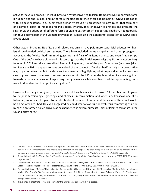active for several decades.<sup>81</sup> In 1998, however, Myatt converted to Islam (temporarily), supported Osama Bin Laden and the Taliban, and authored a theological defense of suicide bombing.<sup>82</sup> ONA's association with Islamist militancy, in turn, emerges primarily through its prescribed "insight roles" that form part of a complex chain of initiations for individuals, whereby they endeavor to provoke and promote the sinister via the adoption of different forms of violent extremisms.<sup>83</sup> Supporting jihadism, if temporarily, can thus become part of the ultimate provocation, symbolizing the adherents' dedication to ONA's apocalyptic vision.

Other actors, including Neo-Nazis and related extremists have paid more superficial tributes to jihadists through varied political engagement. These have included meme campaigns and other propaganda advocating the "white jihad", mimicking gestures and flags of militant Islamists and even Arabic script. One of the outfits to have pioneered this campaign was the British neo-Nazi group National Action (NA), founded in 2013 and since proscribed. Benjamin Raymond, one of the group's founders (who was jailed for 8 years in 2021), appears to have conceived of the concept of "white jihad" initially as a provocative way to garner attention. But he also saw it as a means of highlighting what he perceived as inconsistencies in government counter-extremism policies within the UK, whereby Islamist radicals were guided towards more palatable ways of expressing their grievances, while members of white supremacist groups were told to abandon their politics altogether.<sup>84</sup>

However, like many ironic jokes, the term may well have taken a life of its own. NA members would go on to use jihad terminology—greetings, and phrases—in conversation, and when Jack Renshaw, one of its followers, announced his plans to murder his local member of Parliament, he claimed the attack would be an act of white jihad. He even suggested he could wear a fake suicide vest, thus committing "suicide by cop" once armed police arrived, as has happened in several successful acts of Islamist terrorism in the UK and elsewhere.85

<sup>81</sup> Despite his association with ONA, Myatt subsequently claimed that by the late 1990s he had come to realize that National Socialism and occultism were "fundamentally, and irretrievably, incompatible and opposed to each other," as a result of which he abandoned such contacts and cooperation, as found in his book, *Myngarth: Some Reflections of a Wyrdful and Extremist Life* (2013), page 96.

<sup>82</sup> Robert Wistrich, *A Lethal Obsession: Anti-Semitism from Antiquity to the Global Jihad* (Random House: New York, 2010), 1410-11 [e-book page numbers].

<sup>83</sup> Jacob Senholt, "The Sinister Tradition: Political Esotericism and the Convergence of Radical Islam, Satanism and National Socialism in the Order of the Nine Angles," conference presentation, *Satanism in the Modern World, Trondheim* (November 2009).

<sup>84</sup> As found in Michael McCabe, "National Action Conference 2016 Notes" [as of November 2020]. See also: Matthew Collins with Robbie Mullen, *Nazi Terrorist: The Story of National Action* (London: HNH, 2019); Graham Macklin, "Only Bullets will Stop Us" – The Banning of National Action in Britain," *Perspectives on Terrorism* 12, no. 6 (2018): 104-22. (Note: This footnote serves as a source for the entire paragraph in which it is located.)

<sup>85</sup> Ibid. (Note: This footnote serves as a source for the entire paragraph in which it is located.)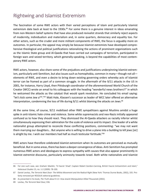#### Rightwing and Islamist Extremism

The fascination of some RWE actors with their varied perceptions of Islam and particularly Islamist extremism date back at least to the 1930s.<sup>86</sup> For some there is a genuine interest in ideas emanating from non-Western belief systems that have also produced revivalist strands that similarly reject aspects of modernity, individualism and materialism and, in some quarters, democracy and equality too. For other actors, such as the cruder and more militant components of RWE, the focus is arguably more on outcomes. In particular, the appeal may simply be because Islamist extremists have developed comprehensive theological and political justifications rationalizing the actions of prominent organizations such as the Islamic State group and Al-Qaeda that have carried out campaigns of terrorism, participated in foreign wars and seized territory, which generally-speaking, is beyond the capabilities of most contemporary RWE actors.

RWE actors, however, also share some of the prejudices and justifications underpinning Islamist extremism, particularly anti-Semitism, but also issues such as homophobia, common in many—though not all elements of RWE, and even a desire to bring down existing governing orders whereby acts of Islamist terror can be framed as part of a common struggle. In the aftermath of the 9/11 attacks in the US in 2001, for instance, Harry Lloyd, then Pittsburgh coordinator of the aforementioned World Church of the Creator (WCC) wrote an email to his colleagues with the heading "wonderful news brothers!!" in which he welcomed the attacks as the catalyst that would spark revolution. He concluded his email saying: "let's kick some Jew a\*\*."87 Matt Hale, Klassen's successor as leader of WCC later offered an alternative interpretation, condemning the loss of life during 9/11 whilst blaming the attacks on Jews.<sup>88</sup>

At the same time, of course, 9/11 mobilized other RWE sympathizers against Muslims amidst a huge spike in anti-Islamic hate crime and violence. Some white supremacists and neo-Nazis initially appeared confused as to how they should react. They dismissed the Al-Qaeda attackers as racially inferior whilst simultaneously expressing their admiration for the scale of violence and its impact. One leader of a white nationalist group attempted to reconcile these conflicting positions, commenting: "we may not want them marrying our daughters… But anyone who is willing to drive a plane into a building to kill jews [*sic*] is alright by me. I wish our members had half as much testicular fortitude."<sup>89</sup>

RWE actors have therefore celebrated Islamist extremism when its outcomes are perceived as mutually beneficial. But in some areas, there has been a deeper convergence of ideas. Anti-Semitism has prompted numerous RWE actors and ideologues to express sympathy with causes that also appear prominently in Islamist extremist discourse, particularly animosity towards Israel. Both white nationalists and Islamist

<sup>86</sup> For one such case, see: Graham Macklin, "A Fascist 'Jihad': Captain Robert Gordon-Canning, British Fascist Antisemitism and Islam," *Holocaust Studies* 15, no. 1-2 (2009): 78-100.

<sup>87</sup> Daniel Levitas, The Terrorist Next Door: The Militia Movement and the Radical Right (New York: Thomas Dunne Books, 2002), 335. Profanty removed per RESOLVE editorial guidelines.

<sup>88</sup> As presented in his book, *The Truth about 9-11: How Jewish Manipulation Killed Thousands* (2002).

<sup>89</sup> Levitas, *The Terrorist Next Door,* 336.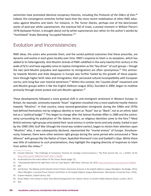extremists have promoted identical conspiracy theories, including the *Protocols of the Elders of Zion*. 90 Indeed, this convergence stretches further back than the more recent mobilization of other RWE advocates against Muslims and Islam. For instance, in *The Turner Diaries*, perhaps one of the best-known works of post-war white supremacism, the eventual fall of Israel, a pivotal moment in William Pierce's 1978 dystopian fiction, is brought about not by white supremacists but rather (in the author's words) by "humiliated" Arabs liberating "occupied Palestine."91

#### Evolution and Inconsistencies

RWE ideas, the actors who promote them, and the varied political outcomes that these prescribe, are dynamic and evolve in each given locality over time. RWE's response to Islam is no exception, which has added to its heterogeneity. Anti-Muslim strands of RWE solidified in the early twenty-first century in the wake of 9/11 and have arguably come to replace immigration as the "key driver" of such groups – though the two (anti-Muslim prejudice and opposition to immigration) are often synonymous.<sup>92</sup> This animosity towards Muslim and Arab diasporas in Europe was further fueled by the growth of these populations through higher birth rates and immigration; their perceived cultural incompatibility with European norms; and rising fear over Islamist extremism.<sup>93</sup> Within this context, the "counter-jihad" movement and anti-Muslim groups within it like the English Defence League (EDL), founded in 2009, began to mobilize primarily through street protest and anti-Muslim agitation.<sup>94</sup>

These developments followed a more gradual shift in anti-immigrant sentiment in Western Europe. In Britain, for example, animosity towards "Asian" migration morphed into a more explicitly hostile rhetoric towards "Muslims". In that country, many second-generation immigrants during the 1960s and 1970s had defined themselves not by religious identity or even as "Asian" but as "Black", not as an ethnic label but as a "political badge".<sup>95</sup> This began to change after the Salman Rushdie Affair in 1989 and the controversy surrounding his publication of *The Satanic Verses*, as religious identities came to the fore.96 Most British extreme right groups articulated their racial animus in similar terms and only slowly, fueled in part by the 1990-1991 Gulf War (though the trend was evident earlier), began to retrain their attention upon "Muslims" who, it was subsequently declared, represented the "mortal enemy" of Europe. Simultaneously, however, there were other extreme right groups during the same period who announced a "New Alliance" with groups like the Nation of Islam, Ayatollah Khomeini's Iran and Gaddafi's Libya. Whilst there was little of substance to such proclamations, they highlight the ongoing diversity of responses to Islam from within the milieu.<sup>97</sup>

97 Ibid.

<sup>90</sup> Donald Holbrook, "The Challenge of Conspiracy Theories for Strategic Communications,*" The RUSI Journal* 165, no. 1 (2020): 26-36, <https://doi.org/10.1080/03071847.2020.1734384>.

<sup>91</sup> As derived from the onlne edition of *The Turner Diaries* (page 72).

<sup>92</sup> "Islamophobia Behind Far-right Rise in the UK, Says Report," *BBC News,* February 18, 2019, [https://www.bbc.com/news/uk-47280082.](https://www.bbc.com/news/uk-47280082) 93 Ibid.

<sup>94</sup> Joel Busher, The Making of Anti-Muslim Street Protest: Grassroots Activism in the English Defence League (Abingdon: Routledge, 2015); Hilary Pilkington, Loud and Proud: Passion and Politics in the English Defence League (Manchester: Manchester University Press, 2016).

<sup>95</sup> Graham Macklin, *Failed Fuhrers,* 392.

<sup>96</sup> Kenan Malik*, From Fatwa to Jihad: How World Changed from the 'Satanic Verses' to Charlie Hebdo* (Atlantic Books: London, 2017).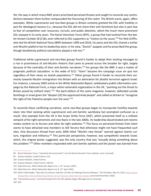Yet, the way in which many RWE actors prioritized perceived threats and sought to reconcile any contradictions between them further compounded the fracturing of this realm. The British scene, again, offers examples. White supremacist and neo-Nazi groups in Britain certainly greeted the EDL with hostility in part for ideological reasons (i.e., because the EDL did not share their anti-Semitism) but also in part due to fear of competition over resources, recruits, and public attention, which the much more prominent EDL enjoyed in its early years. The Racial Volunteer Force (RVF), a group that had evolved from the better-known Combat 18 (C18), even referred to EDL supporters as "traitors to the cause."98 For Nick Griffin, who led the British National Party (BNP) between 1999 and 2010, his party and the EDL shared a similar anti-Muslim platform but its leadership were, in his view, "Zionist" puppets and he proscribed the group, though doubtlessly political calculations played a role too.<sup>99</sup>

Traditional white supremacist and neo-Nazi groups found it harder to adapt their existing messages to a rise in prominence of anti-Muslim rhetoric that came to prevail across the broader far right, largely because of the centrality of their anti-Semitic narratives.<sup>100</sup> For groups like the BNP, it was a matter of pragmatic political calculation. In the wake of 9/11 "Islam" became the campaign issue *sin qua non*  regardless of their views on Jewish populations.101 Other groups found it harder to reconcile their animosity towards Muslim immigration into Britain with an admiration for jihadist terrorism against Israel. For instance, a January 2002 article in the *White Nationalist Report*, celebrated a public information campaign by the National Front, a major white nationalist organization in the UK, "pointing out the threat to Britain posed by militant Islam."<sup>102</sup> The April edition of the same magazine, however, defended suicide bombings in Israel given the "despair [of] the oppressed Arab people" and called on Britain to "recognise the right of the Palestine people over the area."<sup>103</sup>

To reconcile these conflicting narratives, some neo-Nazi groups began to incorporate hostility towards Islam into their existing white supremacist and anti-Semitic worldview but prompted confusion as a result. One example from the UK is the Aryan Strike Force (ASF), which presented itself as a militant network of far-right extremists and neo-Nazis in the late 2000s. Its leadership disseminated anti-Islamic media content on its forums and other far-right websites.<sup>104</sup> This focus on perceived threats from Islam seems to have attracted new members to ASF forums that otherwise might not have frequented such sites. One discussion thread from early 2009 titled "World's new threat" warned against Islamic culture, migration and militancy.<sup>105</sup> This particular perspective, however, was sympathetic towards Israel, which, the original poster suggested, was the only country that was "actually doing something about this problem."106 Other members responded with anti-Semitic epithets and the poster was banned from

105 "General Discussion," archived threads from the ASF website (legion 88 page) [since removed].

<sup>98</sup> Racial Volunteer Force, "Important Announcement," [on the Racial Volunteer Force website, since removed].

<sup>99</sup> Graham Macklin*, Failed Fuhrers,* 501.

<sup>100</sup> Graham Macklin, *Failed Fuhrers.*

<sup>101</sup> Graham Macklin, *Failed Fuhrers,* 490-91.

<sup>102</sup> Eddy Morrison, *White Nationalist Report* (no 1, 15th January 2002).

<sup>103</sup> Eddy Morrison, *White Nationalist Report* (no 8, 13th April 2002).

<sup>104</sup> Martin Wainwright, "Neo-Nazi Ian Davison Jailed for 10 Years for Making Chemical Weapon," *The Guardian,* May 14, 2010, [https://www.](https://www.theguardian.com/uk/2010/may/14/neo-nazi-ian-davison-jailed-chemical-weapon) [theguardian.com/uk/2010/may/14/neo-nazi-ian-davison-jailed-chemical-weapon](https://www.theguardian.com/uk/2010/may/14/neo-nazi-ian-davison-jailed-chemical-weapon) [accessed November 2020].

<sup>106</sup> Ibid.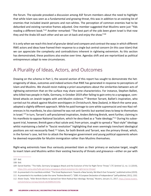the forum. The episode provoked a discussion among ASF forum members about the need to highlight that while Islam was seen as a fundamental and growing threat, this was in addition to an existing list of enemies that included Jewish persons and non-whites. The perception of common enemies had to be debunked and existing narrative frames adjusted. One member suggested that Muslims were just "Yids reading a different book."<sup>107</sup> Another remarked: "The best part of the yids been given Israel is that now they and the Arabs kill each other and we can sit back and enjoy the show."108

It is only when we reach this level of granular detail and compare and contrast the ways in which different RWE actors and ideas have framed their response to a single but central concern (in this case Islam) that we can appreciate the complexity and contradictions inherent in rightwing extremism. As this section has demonstrated, these positions also evolve over time. Agendas shift and are reprioritized as political entrepreneurs adapt to new circumstances.

#### A Plurality of Ideas, Actors, and Outcomes

Drawing on the schema in Part 1, the second section of this report has sought to demonstrate the heterogeneity of ideas, outcomes and indeed actions that RWE has generated in response to perceptions of Islam and Muslims. We should resist making *a priori* assumptions about the similarities between acts of rightwing extremism that on the surface may share some characteristics. For instance, Stephen Balliet, who killed two people in Halle, Germany, in October 2019 after failing to gain entry to a synagogue, combined attacks on Jewish targets with anti-Muslim violence.<sup>109</sup> Brenton Tarrant, Balliet's inspiration, who carried out his attack against Muslim worshippers in Christchurch, New Zealand, in March the same year, adopted a slightly different approach. While he paid homage to core white supremacist and neo-Nazi references in his manifesto, he also claimed he was not anti-Semitic but wanted Jews to keep to themselves in Israel.<sup>110</sup> In turn, Tarrant's self-proclaimed inspiration, Anders Behring Breivik, went further, claiming in his manifesto to oppose National Socialism, which he described as a "hate ideology."<sup>111</sup> During his subsequent trial, however, Breivik gave a Nazi salute and, from prison, sought to spread a "Nazi-style" ideology whilst maintaining a belief in "fascist revolution" highlighting that even seemingly trenchant ideological positions are not necessarily fixed.112 Islam, for both Breivik and Tarrant, was the primary threat, which, in the former's case, led him to attack the Norwegian government and young political opponents whom he deemed responsible for Muslim immigration rather than Muslims themselves.

Right-wing extremists have thus variously presented Islam as their primary or exclusive target, sought to insert Islam and Muslims within their existing hierarchy of threats and grievance—either on par with

<sup>107</sup> Ibid.

<sup>108</sup> Ibid.

<sup>109</sup> Daniel Koehler, "The Halle, Germany Synagogue Attack and the Evolution of the Far-Right Terror Threat," *CTC Sentinel* 12, no. 11 (2019), <https://ctc.usma.edu/halle-germany-synagogue-attack-evolution-far-right-terror-threat/>.

<sup>110</sup> As presented in his manifesto entitled: "The Great Replacement: Towards a New Society, We March Ever Forwards," published online (2019).

<sup>111</sup> As presented in his manifesto (under the name "Andrew Berwick"): "2083: A European Declaration of Independence" (self-published, 2011), 1332.

<sup>112</sup> Alister Doyle, "Killer Breivik Wants to Spread Ever More Radical Nazi Ideology: Norway," *Reuters,* January 11, 2017, [https://www.reuters.](https://www.reuters.com/article/us-norway-breivik-idUSKBN14V1HQ) [com/article/us-norway-breivik-idUSKBN14V1HQ.](https://www.reuters.com/article/us-norway-breivik-idUSKBN14V1HQ)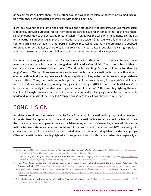principal threats or below them—while other groups have ignored Islam altogether, or claimed inspiration from those who associated themselves with Islamic doctrine.

If we look beyond the militant or neo-Nazi realms, the heterogeneity of interpretations as regards Islam is retained. Nativist European radical right political parties have for instance either positioned themselves in opposition to the perceived threat of Islam,<sup>113</sup> or, as was the case with movements like the EDL or the Patriotic Europeans Against the Islamisation of the Occident (PEGIDA), were founded explicitly to counter such alleged threats. In other parts of Europe, meanwhile, alternative approaches are adopted. Heterogeneity on this issue, therefore, is not solely restricted to RWE, but also radical right politics, although the extent to which both influence one another is not necessarily always clear cut.

Elements of the Hungarian radical right, for instance, pivot East. The Hungarian nationalist Turanist movement advocates the belief that ethnic Hungarians originated in Central Asia114 and it could be said that its central advocates have been imbued more by Traditionalism and Dugin's notion of Eurasianism than any Anglo-Saxon or Western European influences. Indeed, Jobbik, a radical nationalist party, with elements of oriental thought (including reverence for Islamic spirituality) has, in the past, taken a rather pro-Islamic stance.<sup>115</sup> Gábor Vona, then leader of Jobbik, pushed for closer ties with Iran, Turkey and Central Asia, as well as the Muslim world more generally. During a visit to Turkey in 2013, he even described Islam as "the last hope for humanity in the darkness of globalism and liberalism."<sup>116</sup> However, highlighting the malleability of far-right discourse, attitudes towards Islam and indeed Hungary's small Muslim community hardened in the midst of the so-called "refugee crisis" in 2015 as it has elsewhere in Europe.<sup>117</sup>

#### **CONCLUSION**

Anti-Islamic sentiment has been a particular focus for many cultural nationalist groups and movements. It has also been incorporated into the worldview of racial nationalists and ethnic nationalists who have fixed their gaze on other apparent threats to racial harmony and purity. Meanwhile, accelerationists, racial nationalist provocateurs and members of more spiritual and occultic dimensions of RWE have sought to emulate or claimed to be inspired by their varied views on Islam, including Islamist extremist groups. Other racial nationalists have highlighted a convergence of views with Islamist extremists, especially as

<sup>113</sup> Peter Walker, "New UKIP Leader Condemned for 'Virulent Islamophobia'," *The Guardian,* August 12, 2019, [https://www.theguardian.](https://www.theguardian.com/politics/2019/aug/12/new-ukip-leader-condemned-for-virulent-islamophobia) [com/politics/2019/aug/12/new-ukip-leader-condemned-for-virulent-islamophobia.](https://www.theguardian.com/politics/2019/aug/12/new-ukip-leader-condemned-for-virulent-islamophobia)

<sup>114</sup> Daniel McLaughlin, "Hungary Letter: Steppe Festival Celebrates Mysterious Origins," *Irish Times,* August 18, 2016, [https://www.irish](https://www.irishtimes.com/news/world/europe/hungary-letter-steppe-festival-celebrates-mysterious-origins-1.2759437)[times.com/news/world/europe/hungary-letter-steppe-festival-celebrates-mysterious-origins-1.2759437.](https://www.irishtimes.com/news/world/europe/hungary-letter-steppe-festival-celebrates-mysterious-origins-1.2759437)

<sup>115</sup> Péter Krekó, Bulcsú Hunyadi, and Patrik Szicherle*, Anti-Muslim populism in Hungary: From the Margins to the Mainstream* (Washington, DC: Brookings Institute, 2019), https://www.brookings.edu/research/anti-muslim-populism-in-hungary-from-the-margins-to-the-mainstream/.

<sup>116</sup> Youssef Sourgo, "Hungary: Far-right Party Leader Says 'Islam is the Last Hope of Humanity'," *Morocco World News,* November 7, 2013, <https://www.moroccoworldnews.com/2013/11/111456/hungary-far-right-party-leader-says-islam-is-the-last-hope-of-humanity/>[as of December 2020].

<sup>117</sup> Christopher Adam, "The Hungarian Far-right and Islam," *Hungarian Free Press,* July 27, 2015, [http://hungarianfreepress.com/2015/07/27/](http://hungarianfreepress.com/2015/07/27/the-hungarian-far-right-and-islam/) [the-hungarian-far-right-and-islam/.](http://hungarianfreepress.com/2015/07/27/the-hungarian-far-right-and-islam/)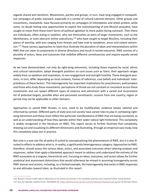regards shared anti-Semitism. Movements, parties and groups, in turn, have long engaged in metapolitical campaigns of public outreach, especially in a variety of cultural national domains. Other groups and movements, meanwhile, have focused primarily on campaigns of intimidation and street protest, while some, no doubt tasting new opportunities to exploit the mainstreaming of anti-Muslim prejudice, have sought to move from these overt forms of political agitation to more public-facing outreach. Then there are individuals, often acting in isolation, who see themselves as parts of larger movements, such as the Identitarians, or even obscurer online subcultures,<sup>118</sup> who have sought to target Muslims, including their places of worship, with acts ranging from threats and hate mail to vandalism, arson and violent extremism.<sup>119</sup> These various approaches to Islam thus illustrate the pluralism of ideas and interpretations within RWE that can steer its proponents in diverse directions and result in varied outcomes. RWE consists of a plurality of actors, ideas and outcomes that mobilize different constituencies and require equally varied responses.

As we have demonstrated, not only do right-wing extremists, including those inspired by racial, ethnic and cultural nationalism, adopt divergent positions on core issues such as Islam, their approach ranges widely from co-optation and inspiration, to non-engagement and outright hostility. These divergent positions, in turn, differ depending on local contexts, frames of reference, core beliefs and individuals' interpretations of these factors. This heterogeneity has important implications for practitioners, policymakers and those who study these movements: perceptions of threat are not constant or consistent across these movements and can spawn different types of violence and extremism with a varied and inconsistent list of potential targets, possible allies and perceived constituents. Lessons from one country, region or period may not be applicable to other domains.

Approaches to varied RWE threats, in turn, need to be multifaceted, evidence based, tailored and informed by context. Different parts of state and civil society have varied roles to play in combating rightwing extremism and these must reflect the particular manifestations of RWE that are being countered, as well as an understanding of how they operate within their wider radical right hinterland. This complexity is widely recognized in the literature on RWE. This report serves to further illustrate that complexity, drawing out and visualizing its different dimensions and illustrating, through an empirical case study, how this complexity plays out in practice.

Not only is a one-size-fits all policy ill-suited to conceptualizing the phenomenon of RWE, but it is also illsuited to efforts to address what is, in reality, a significantly heterogeneous category. Approaches to RWE, therefore, should assess the various ideas, actors, and associated outcomes when tailoring analyses and responses, rather than apply a blanketed approach meant to address and understand the entirety of the RWE ecosystem as a singular, hierarchical unit. Focusing on ideas, outcomes, and actors allows for further analytical and assessment distinctions that would otherwise be missed in assuming homogeneity across RWE stances and actions, including, as a limited example, the heterogeneity that exists in RWE responses to and attitudes toward Islam, as illustrated in this report.

<sup>118</sup> Brenton Tarrant made explicit references to his online community in his manifesto and has since inspired further online fandom. 119 See, for example, statistics from: Tell MAMA UK, <https://tellmamauk.org/wp-content/uploads/infographics/6.jpg> (as of February 2022).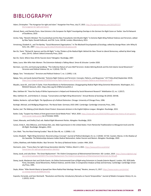#### BIBLIOGRAPHY

- Adam, Christopher. "The Hungarian Far-right and Islam." *Hungarian Free Press*, July 27, 2015. [http://hungarianfreepress.com/2015/07/27/](http://hungarianfreepress.com/2015/07/27/the-hungarian-far-right-and-islam/) [the-hungarian-far-right-and-islam/](http://hungarianfreepress.com/2015/07/27/the-hungarian-far-right-and-islam/).
- Ahmed, Reem, and Daniela Pisoiu. *How Extreme is the European Far Right? Investigating Overlaps in the German Far-Right Scene on Twitter*. Vox-Pol Network of Excellence, 2019.
- Archer, Toby. "Breivik's Mindset: The Counterjihad and the New Transatlantic Anti-Muslim Right." In *Extreme Right-Wing Political Violence and Terrorism,* edited by Max Taylor, Donald Holbrook, and P.M. Curie, 169-86. London: Bloomsbury, 2013.
- Armstrong, Elizabeth A., and Tim Bartley. "Social Movement Organizations." In *The Blackwell Encyclopaedia of Sociology*, edited by George Ritzer. John Wiley & Sons, Ltd., 2007. <https://doi.org/10.1002/9781405165518.wbeoss158>.
- Bar-On, Tamir. "Richard B. Spencer and the Alt Right." In *Key Thinkers of the Radical Right: Behind the New Threat to Liberal Democracy*, edited by Mark Sedgwick, 224-41. Oxford: Oxford University Press, 2019.
- Bar-On, Tamir. *Where Have All the Fascists Gone?* Abingdon: Routledge, 2007.
- Bates, Laura. *Men Who Hate Women: The Extremism Nobody is Talking About*. Simon & Schuster: London 2020.
- Berntzen, Lars Erik, and Sveinung Sandberg. "The Collective Nature of Lone Wolf Terrorism: Anders Behring Breivik and the Anti-Islamic Social Movement." *Terrorism and Political Violence* 26, no. 5 (2014): 759-79.
- Bjørgo, Tore. "Introduction." *Terrorism and Political Violence* 7, no. 1 (1995): 1-16.
- Bjørgo, Tore, and Jacob Aasland Ravndal. "Extreme Right Violence and Terrorism: Concepts, Patterns, and Responses." *ICCT Policy Brief* (September 2019). <https://icct.nl/app/uploads/2019/09/Extreme-Right-Violence-and-Terrorism-Concepts-Patterns-and-Responses-4.pdf>.
- Blazakis, Jason M., and Colin P. Clarke. *From Paramilitaries to Parliamentarians: Disaggregating Radical Right Wing Extremist Movements*. Washington, D.C.: RESOLVE Network, 2021. https://doi.org/10.37805/remve2021.2.
- Blee, Kathleen M. "How the Study of White Supremacism is Helped and Hindered by Social Movement Research" *Mobilization* 22, no. 1 (2017).
- Blee, Kathleen M., and Kimberly A. Creasap. "Conservative and Right-Wing Movements." *Annual Review of Sociology* 36 (2010): 269-86.
- Bobbio, Norberto. *Left and Right: The Significance of a Political Distinction*. Chicago: University of Chicago Press, 1996.
- Burleigh, Michael, and Wolfgang Wipperman. *The Racial State: Germany 1933-1945*. Cambridge: Cambridge University Press, 1991.
- Busher, Joel. *The Making of Anti-Muslim Street Protest: Grassroots Activism in the English Defence League.* Abingdon: Routledge, 2015.
- Butler, Cody. "Suspect has History of Anti-government Social Media Posts." *WILX*, 2020. [https://www.wilx.com/2020/10/09/suspect-has-history-of-anti-govern](https://www.wilx.com/2020/10/09/suspect-has-history-of-anti-government-social-media-posts/)[ment-social-media-posts/](https://www.wilx.com/2020/10/09/suspect-has-history-of-anti-government-social-media-posts/) (as of October 2020).
- Caiani, Manuela, and Ondřej Císař, eds. *Radical Right Movement Parties*. Abingdon: Routledge, 2019.
- Carian, Emily K., Alex DiBranco, and Chelsea Ebin, eds. *Male Supremacism in the United States: From Patriarchal Traditionalism to Misogynist Incels and the Alt-Right*. Routledge: Abingdon, 2022.
- Carr, Matt. "You Are Now Entering Eurabia." *Race & Class* 48, no. 1 (2006): 1-22.
- Carter, Elisabeth. "Right-Wing Extremism: Reconstructing a Concept." *Journal of Political Ideologies* 23, no. 2 (2018): 157-82. Casolari, Marzia. *In the Shadow of the Swastika: The Relationships between Indian Radical Nationalism, Italian Fascism and Nazism*. Abingdon: Routledge, 2020.
- Collins, Matthew, with Robbie Mullen. *Nazi Terrorist: The Story of National Action.* London: HNH, 2019.
- Darmanin, Jules. "France Bans Far-right Group Generation Identity." *Politico*, March 3, 2021. [https://www.politico.eu/article/](https://www.politico.eu/article/france-bans-far-right-group-generation-identity/) [france-bans-far-right-group-generation-identity/](https://www.politico.eu/article/france-bans-far-right-group-generation-identity/).
- Davey, Jacob, and Julia Ebner. 'The Great Replacement': The Violent Consequences of Mainstreamed Extremism. ISD: London, 2019. [https://www.isdglobal.org/](https://www.isdglobal.org/wp-content/uploads/2019/07/The-Great-Replacement-The-Violent-Consequences-of-Mainstreamed-Extremism-by-ISD.pdf) [wp-content/uploads/2019/07/The-Great-Replacement-The-Violent-Consequences-of-Mainstreamed-Extremism-by-ISD.pdf](https://www.isdglobal.org/wp-content/uploads/2019/07/The-Great-Replacement-The-Violent-Consequences-of-Mainstreamed-Extremism-by-ISD.pdf).
- Davey, Jacob, Mackenzie Hart and Cécile Guerin. An Online Environmental Scan of Right-wing Extremism in Canada (Interim Report). London: ISD, 2020.della Porta, Donatella. *Social Movements, Political Violence, and the State: A Comparative Analysis of Italy and Germany*. Cambridge: Cambridge University Press, 1995.
- Doyle, Alister. "Killer Breivik Wants to Spread Ever More Radical Nazi Ideology: Norway." Reuters, January 11, 2017. [https://www.reuters.com/article/](https://www.reuters.com/article/us-norway-breivik-idUSKBN14V1HQ) [us-norway-breivik-idUSKBN14V1HQ](https://www.reuters.com/article/us-norway-breivik-idUSKBN14V1HQ).
- Esposito, Fernando, and Sven Reichardt. "Revolution and Eternity: Introductory Remarks on Fascist Temporalities." *Journal of Modern European History* 13, no. 1 (2015): 24-43.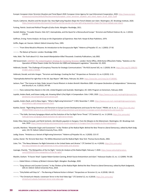- Europol. *European Union Terrorism Situation and Trend Report 2020*. European Union Agency for Law Enforcement Cooperation, 2020. [https://www.europol.](https://www.europol.europa.eu/cms/sites/default/files/documents/european_union_terrorism_situation_and_trend_report_te-sat_2020_0.pdf) [europa.eu/cms/sites/default/files/documents/european\\_union\\_terrorism\\_situation\\_and\\_trend\\_report\\_te-sat\\_2020\\_0.pdf](https://www.europol.europa.eu/cms/sites/default/files/documents/european_union_terrorism_situation_and_trend_report_te-sat_2020_0.pdf)
- Fieschi, Catherine. Muslims and the Secular City: How Right-wing Populists Shape the French Debate over Islam. Washington, DC: Brookings Institute, 2020. <https://www.brookings.edu/research/muslims-and-the-secular-city-how-right-wing-populists-shape-the-french-debate-over-islam/>.

Furlong, Patrick. *Social and Political Thought of Julius Evola*. Abingdon: Routledge, 2011.

Gardell, Mattias. "Crusader Dreams: Oslo 22/7, Islamophobia, and the Quest for a Monocultural Europe." *Terrorism and Political Violence* 26, no. 1 (2014): 129-55.

Goffman, Erving. Frame *Analysis: An Essay on the Organization of Experience*. New York: Harper & Row Publishers, 1974.

Griffin, Roger, ed. *Fascism.* Oxford: Oxford University Press, 1995.

- ———. "From Slime Mould to Rhizome: An Introduction to the Groupuscular Right." *Patterns of Prejudice* 37, no. 1 (2003): 27-50.
- ———. *The Nature of Fascism*. London: Routledge 1993.
- Hale, Matt. *The Truth about 9-11: How Jewish Manipulation Killed Thousands*. Creativity Publications, July 2002.
- HM Government. *[CONTEST: The United Kingdom's Strategy for Countering Terrorism](https://assets.publishing.service.gov.uk/government/uploads/system/uploads/attachment_data/file/716907/140618_CCS207_CCS0218929798-1_CONTEST_3.0_WEB.pdf)*. London: Home Office, 2018.Home Office/John Flatley. "Statistics on the Operation of Police Powers Under the Terrorism Act 2000 and Subsequent Legislation." December 10, 2020.
- Holbrook, Donald. "The Challenge of Conspiracy Theories for Strategic Communications." *The RUSI Journal* 165, no. 1 (2020): 26-36. [https://doi.org/10.1080/03](https://doi.org/10.1080/03071847.2020.1734384) [071847.2020.1734384](https://doi.org/10.1080/03071847.2020.1734384).

Holbrook, Donald, and John Horgan. "Terrorism and Ideology: Cracking the Nut." *Perspectives on Terrorism* 13, no. 6 (2019): 2-15.

"Islamophobia Behind Far-right Rise in the UK, Says Report." *BBC News*, February 18, 2019. <https://www.bbc.com/news/uk-47280082>.

- Jackson, Paul. "The License to Hate: Peder Jensen's Fascist Rhetoric in Anders Breivik's Manifesto *2083: A European Declaration of Independence*." *Democracy and Security* 9, no. 3 (2013): 247-69.
- ———. *Trans-national Neo-Nazism in the USA, United Kingdom and Australia*. Washington, DC: GWU Program on Extremism, February 2020.
- Jupskås, Anders Ravik, and Eviane Leidig, eds. *Knowing What's (Far) Right: A Compendium*. Oslo: C-REX, 2020. [https://www.sv.uio.no/c-rex/english/groups/com](https://www.sv.uio.no/c-rex/english/groups/compendium/c-rex-compendium-print-version.pdf)[pendium/c-rex-compendium-print-version.pdf](https://www.sv.uio.no/c-rex/english/groups/compendium/c-rex-compendium-print-version.pdf).
- Jupskås, Anders Ravik, and Iris Beau Segers. "What is Right-wing Extremism?" *C-REX,* November 7, 2020. https://www.sv.uio.no/c-rex/english/groups/compendium/what-is-right-wing-extremism.html.
- Koehler, Daniel. "Right-Wing Extremism and Terrorism in Europe Current Developments and Issues for the Future." PRISM, vol. 6, no. 2. [https://cco.ndu.edu/](https://cco.ndu.edu/PRISM/PRISM-Volume-6-no-2/Article/839011/right-wing-extremism-and-terrorism-in-europe-current-developments-and-issues-fo/) [PRISM/PRISM-Volume-6-no-2/Article/839011/right-wing-extremism-and-terrorism-in-europe-current-developments-and-issues-fo/](https://cco.ndu.edu/PRISM/PRISM-Volume-6-no-2/Article/839011/right-wing-extremism-and-terrorism-in-europe-current-developments-and-issues-fo/).
- ———. "The Halle, Germany Synagogue Attack and the Evolution of the Far-Right Terror Threat." *CTC Sentinel* 12, no. 11 (2019). [https://ctc.usma.edu/](https://ctc.usma.edu/halle-germany-synagogue-attack-evolution-far-right-terror-threat/) [halle-germany-synagogue-attack-evolution-far-right-terror-threat/](https://ctc.usma.edu/halle-germany-synagogue-attack-evolution-far-right-terror-threat/).
- Krekó, Péter, Bulcsú Hunyadi, and Patrik Szicherle. *Anti-Muslim populism in Hungary: From the Margins to the Mainstream.* Washington, DC: Brookings Institute, 2019. <https://www.brookings.edu/research/anti-muslim-populism-in-hungary-from-the-margins-to-the-mainstream/>.
- Laruelle, Marilene. "Alexander Dugin and Eurasianism." In *Key Thinkers of the Radical Right: Behind the New Threat to Liberal Democracy*, edited by Mark Sedgwick, 155-70. Oxford: Oxford University Press, 2019.
- Leidig, Eviane. "Hindutva as a Variant of Right-wing Extremism." *Patterns of Prejudice* 54, no. 3 (2020): 215-37.

Levitas, Daniel. *The Terrorist Next Door: The Militia Movement and the Radical Right.* New York: Thomas Dunne Books, 2002.

- Lister, Tim. "The Nexus Between Far-Right Extremists in the United States and Ukraine." *CTC Sentinel* 13, no. 4 (2020). [https://ctc.usma.edu/](https://ctc.usma.edu/the-nexus-between-far-right-extremists-in-the-united-states-and-ukraine/) [the-nexus-between-far-right-extremists-in-the-united-states-and-ukraine/](https://ctc.usma.edu/the-nexus-between-far-right-extremists-in-the-united-states-and-ukraine/).
- Liyanage, Chamila. "The Metapolitics of the Far Right." *Centre for Analysis of the Radical Right,* February 7, 2020. [https://www.radicalrightanalysis.](https://www.radicalrightanalysis.com/2020/02/07/the-metapolitics-of-the-far-right/) [com/2020/02/07/the-metapolitics-of-the-far-right/](https://www.radicalrightanalysis.com/2020/02/07/the-metapolitics-of-the-far-right/).

Macklin, Graham. "A Fascist 'Jihad': Captain Robert Gordon-Canning, British Fascist Antisemitism and Islam." *Holocaust Studies* 15, no. 1-2 (2009): 78-100.

———. *Failed Führers: A History of Britain's Extreme Right.* Abingdon: Routledge, 2020.

- ———. "Greg Johnson and Counter-Currents." In *Key Thinkers of the Radical Right: Behind the New Threat to Liberal Democracy,* edited by Mark Sedgewick, 204-23. Oxford: Oxford University Press, 2019.
- ———. "Only Bullets will Stop Us" The Banning of National Action in Britain." *Perspectives on Terrorism* 12, no. 6 (2018): 104-22.
- ———. "The Christchurch Attacks: Livestream Terror in the Viral Video Age." *CTC Sentinel* 12, no. 6 (2019). [https://ctc.usma.edu/](https://ctc.usma.edu/christchurch-attacks-livestream-terror-viral-video-age) [christchurch-attacks-livestream-terror-viral-video-age](https://ctc.usma.edu/christchurch-attacks-livestream-terror-viral-video-age).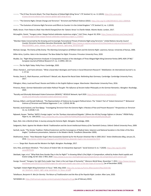- ———. "The El Paso Terrorist Attack: The Chain Reaction of Global Right-Wing Terror." *CTC Sentinel* 12, no. 11 (2019). [https://ctc.usma.edu/](https://ctc.usma.edu/el-paso-terrorist-attack-chain-reaction-global-right-wing-terror/) [el-paso-terrorist-attack-chain-reaction-global-right-wing-terror/](https://ctc.usma.edu/el-paso-terrorist-attack-chain-reaction-global-right-wing-terror/).
- ———. "The Extreme Right, Climate Change and Terrorism." *Terrorism and Political Violence* (2022). <https://doi.org/10.1080/09546553.2022.2069928>.
- ———. "The Evolution of Extreme-Right Terrorism and Efforts to Counter it in the United Kingdom." *CTC Sentinel* 12, no. 1 (2019).

Malik, Kenan. *From Fatwa to Jihad: How World Changed from the 'Satanic Verses' to Charlie Hebdo.* Atlantic Books: London, 2017.

- McLaughlin, Daniel. "Hungary Letter: Steppe festival celebrates mysterious origins." *Irish Times*, August 18, 2016. [https://www.irishtimes.com/news/world/](https://www.irishtimes.com/news/world/europe/hungary-letter-steppe-festival-celebrates-mysterious-origins-1.2759437) [europe/hungary-letter-steppe-festival-celebrates-mysterious-origins-1.2759437](https://www.irishtimes.com/news/world/europe/hungary-letter-steppe-festival-celebrates-mysterious-origins-1.2759437).
- "Member States Concerned by the Growing and Increasingly Transnational Threat of Extreme Right-wing Terrorism." *United Nations Security Council Counter-Terrorism Committee Executive Directorate*, April 2020. [https://www.un.org/securitycouncil/ctc/sites/www.un.org.securitycouncil.ctc/](https://www.un.org/securitycouncil/ctc/sites/www.un.org.securitycouncil.ctc/files/20200401_press_release_trends_alert_extreme_right-wing_terrorism.pdf) [files/20200401\\_press\\_release\\_trends\\_alert\\_extreme\\_right-wing\\_terrorism.pdf](https://www.un.org/securitycouncil/ctc/sites/www.un.org.securitycouncil.ctc/files/20200401_press_release_trends_alert_extreme_right-wing_terrorism.pdf).
- Michael, George. The Enemy of My Enemy: The Alarming Convergence of Militant Islam and the Extreme Right. Lawrence, Kansas: University of Kansas, 2006.
- Miller-Idriss, Cynthia. *Hate in the Homeland: The New Global Far Right*. Princeton: Princeton University Press, 2020.
- Mudde, Cas. "Right-Wing Extremism Analyzed: A Comparative Analysis of the Ideologies of Three Alleged Right-Wing Extremist Parties (NPD, NDP, CP'86)." *European Journal of Political Research* 27, no. 2 (1995): 203–22.
- ———. *The Far Right Today.* Polity Press: Cambridge, 2020.
- Oliver, Pamela E., and Frank Johnston. "What a Good Idea! Ideologies and Frames in Social Movement Research." *Mobilization: An International Journal* 4, no. 1: 37-54.
- Pendas, Devin O., Mark Roseman, and Richard F. Wetzell, eds. *Beyond the Racial State: Rethinking Nazi Germany*. Cambridge: Cambridge University Press, 2017.
- Pilkington, Hilary. *Loud and Proud: Passion and Politics in the English Defence League.* Manchester: Manchester University Press, 2016.
- Pimenov, Alexei. *German Nationalism and Indian Political Thought: The Influence of Ancient Indian Philosophy on the German Romantics*. Abingdon: Routledge, 2020.
- "Racially and Ethnically Motivated Violent Extremism (REMVE)." *RESOLVE Network*, April 2020. [https://www.resolvenet.org/projects/](https://www.resolvenet.org/projects/racially-and-ethnically-motivated-violent-extremism-remve) [racially-and-ethnically-motivated-violent-extremism-remve](https://www.resolvenet.org/projects/racially-and-ethnically-motivated-violent-extremism-remve).
- Ramsay, Gilbert, and Donald Holbrook. "The Representation of Violence by Insurgent Political Actors: The 'Violent' Part of 'Violent Extremism'?" *Behavioral Sciences of Terrorism and Political Aggression* 7, no. 1 (2014): 84-96.
- Ravndal, Jacob Aasland, and Tore Bjørgo. "Investigating Terrorism from the Extreme Right: A Review of Past and Present Research." *Perspectives on Terrorism*  12, no. 6 (2018): 5-22.
- Rękawek, Kacper. "Neither 'NATO's Foreign Legion' nor the 'Donbass International Brigades': (Where Are All the) Foreign Fighters in Ukraine." *PRISM Policy Paper* 6, no. 108 (2015). [https://www.files.ethz.ch/isn/189979/PISM%20Policy%20Paper%20no%206%20\(108\).pdf](https://www.files.ethz.ch/isn/189979/PISM%20Policy%20Paper%20no%206%20(108).pdf).
- Ryan, Nick. *Into a World of Hate: A Journey among the Extreme Right.* Abingdon: Routledge, 2004.
- Sedgewick, Mark. *Against the Modern World: Traditionalism and the Secret Intellectual History of the Twentieth Century*. Oxford: Oxford University Press, 2009.
- Senholt, Jacob. "The Sinister Tradition: Political Esotericism and the Convergence of Radical Islam, Satanism and National Socialism in the Order of the Nine Angles." Conference presentation, *Satanism in the Modern World, Trondheim* (November 2009).
- Shekhovtsov, Anton. "How Alexander Dugin's Neo-Eurasianists Geared Up for the Russian-Ukrainian War in 2005-2013." *Anton Shekhovstov Blog*, January 25, 2016. <http://anton-shekhovtsov.blogspot.com/2016/01/how-alexander-dugins-neo-eurasianists.html>.
- ———. *Tango Noir: Russia and the Western Far Right*. Abingdon: Routledge, 2017.
- Simi, Pete, and Steven Windisch. "The Culture of Violent Talk: An Interpretive Approach." *Social Sciences* 9, no. 7 (2020). [https://doi.org/10.3390/](https://doi.org/10.3390/socsci9070120) [socsci9070120](https://doi.org/10.3390/socsci9070120).
- Skelsbæk, Inger, et al. "What Role Does Gender Play in the Far Right?" In *Knowing What's (Far) Right: A Compendium*, edited by Anders Ravik Jupskås and Eviane Leidig, 62-64. Oslo: C-REX, 2020. <https://www.sv.uio.no/c-rex/english/groups/compendium/c-rex-compendium-print-version.pdf>.
- Sourgo, Youssef. "Hungary: Far-right Party Leader Says 'Islam is the Last Hope of Humanity'." *Morocco World News,* November 7, 2013. [https://www.morocco](https://www.moroccoworldnews.com/2013/11/111456/hungary-far-right-party-leader-says-islam-is-the-last-hope-of-humanity/)[worldnews.com/2013/11/111456/hungary-far-right-party-leader-says-islam-is-the-last-hope-of-humanity/](https://www.moroccoworldnews.com/2013/11/111456/hungary-far-right-party-leader-says-islam-is-the-last-hope-of-humanity/) [as of December 2020].
- "Spotlight: Violent Right-Wing Extremism in Focus." *RAN*, May 2020. [https://ec.europa.eu/home-affairs/system/files/2020-06/](https://ec.europa.eu/home-affairs/system/files/2020-06/ran_brochure_violent_right_wing_extremism_in_focus_en.pdf) [ran\\_brochure\\_violent\\_right\\_wing\\_extremism\\_in\\_focus\\_en.pdf](https://ec.europa.eu/home-affairs/system/files/2020-06/ran_brochure_violent_right_wing_extremism_in_focus_en.pdf).

Teitelbaum, Benjamin R. *War for Eternity: The Return of Traditionalism and the Rise of the Populist Right*. London: Allen Lane, 2020.

Tell MAMA UK. <https://tellmamauk.org/wp-content/uploads/infographics/6.jpg> (as of February 2022).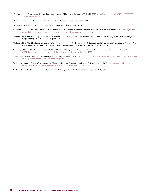"The Far-right and Environmentalism Overlap is Bigger than You Think — and Growing." *NPR*, April 1, 2022. [https://www.npr.org/2022/04/01/1089990539/](https://www.npr.org/2022/04/01/1089990539/climate-change-politics) [climate-change-politics](https://www.npr.org/2022/04/01/1089990539/climate-change-politics).

Thornton, Sarah. "General Introduction." In *The Subcultures Reader*. Abingdon: Routledge, 1997.

Tilly, Charles, and Sidney Tarrow. *Contentious Politics*. Oxford: Oxford University Press, 2015.

- Upchurch, H. E. "The Iron March Forum and the Evolution of the 'Skull Mask' Neo-Fascist Network." *CTC Sentinel* 14, no. 10 (December 2021. [https://ctc.west](https://ctc.westpoint.edu/the-iron-march-forum-and-the-evolution-of-the-skull-mask-neo-fascist-network/)[point.edu/the-iron-march-forum-and-the-evolution-of-the-skull-mask-neo-fascist-network/](https://ctc.westpoint.edu/the-iron-march-forum-and-the-evolution-of-the-skull-mask-neo-fascist-network/).
- Virchow, Fabian. "Post-Fascist Right-Wing Social Movements." In *The History of Social Movements in Global Perspective: A Survey*, edited by Stefan Berger and Holger Nehring, 619–646. London: Palgrave, 2017.
- Virchow, Fabian. "The 'Identitarian Movement': What Kind of Identity? Is it Really a Movement?" In *Digital Media Strategies of the Far Right in Europe and the United States,* edited by Patricia Anne Simpson and Helga Druxes, 177–90. Lanham, Maryland: Lexington Books.
- Wainwright, Martin. "Neo-Nazi Ian Davison Jailed for 10 Years for Making Chemical Weapon." *The Guardian,* May 14, 2010. [https://www.theguardian.com/](https://www.theguardian.com/uk/2010/may/14/neo-nazi-ian-davison-jailed-chemical-weapon) [uk/2010/may/14/neo-nazi-ian-davison-jailed-chemical-weapon](https://www.theguardian.com/uk/2010/may/14/neo-nazi-ian-davison-jailed-chemical-weapon) [accessed November 2020].
- Walker, Peter. "New UKIP Leader Condemned for 'Virulent Islamophobia'." *The Guardian*, August 12, 2019. [https://www.theguardian.com/politics/2019/aug/12/](https://www.theguardian.com/politics/2019/aug/12/new-ukip-leader-condemned-for-virulent-islamophobia) [new-ukip-leader-condemned-for-virulent-islamophobia](https://www.theguardian.com/politics/2019/aug/12/new-ukip-leader-condemned-for-virulent-islamophobia).
- Weill, Kelly. "Satanism Drama is Tearing Apart the Murderous Neo-Nazi Group Atomwaffen." *Daily Beast*, March 21, 2018. [https://www.thedailybeast.com/](https://www.thedailybeast.com/satanism-drama-is-tearing-apart-the-murderous-neo-nazi-group-atomwaffen?ref=scroll) [satanism-drama-is-tearing-apart-the-murderous-neo-nazi-group-atomwaffen?ref=scroll](https://www.thedailybeast.com/satanism-drama-is-tearing-apart-the-murderous-neo-nazi-group-atomwaffen?ref=scroll).

Wistrich, Robert. A *Lethal Obsession: Anti-Semitism from Antiquity to the Global Jihad.* Random House: New York, 2010.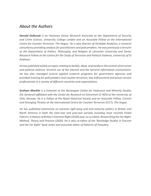#### *About the Authors*

*Donald Holbrook is an Honorary Senior Research Associate at the Department of Security and Crime Science, University College London and an Associate Fellow at the International Centre for Counter-Terrorism, The Hague. He is also director of Veritable Analytics, a research consultancy providing analysis for practitioners and policymakers. He was previously a lecturer at the Department of Politics, Philosophy, and Religion at Lancaster University and Senior Research Fellow at the Centre for the Study of Terrorism and Political Violence, University of St Andrews.*

*He has published widely on topics relating to beliefs, ideas, and media in the context of terrorism and political violence, terrorist use of the internet and the terrorist information environment. He has also managed several applied research programs for government agencies and provided training for policymakers and counter-terrorism, law-enforcement and prison service professionals in a variety of different countries and organizations.*

*Graham Macklin is a historian at the Norwegian Center for Holocaust and Minority Studies (HL-Senteret) affiliated with the Center for Research on Extremism (C-REX) at the University of Oslo, Norway. He is a Fellow of the Royal Historical Society and an Associate Fellow, Current and Emerging Threats at the International Centre for Counter-Terrorism (ICCT), The Hague.* 

*He has published extensively on extreme right-wing and anti-minority politics in Britain and North America in both the inter-war and post-war periods including most recently Failed Führers: A History of Britain's Extreme Right (2020) and, as co-editor, Researching the Far Right: Method, Theory and Practice (2020). He is also co-editor of the 'Routledge Studies in Fascism and the Far Right' book series and associate editor of Patterns of Prejudice.*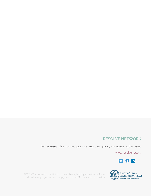#### **RESOLVE NETWORK**

better research**.**informed practice**.**improved policy on violent extremism**.**

www.resolvenet.org



RESOLVE is housed at the U.S. Institute of Peace, building upon the Institute's SOLVE is housed at the U.S. Institute of Peace, building upon the Institute's **MAKING STATES**<br>decades-long legacy of deep engagement in conflict affected communities.<br>Making Peace Possible